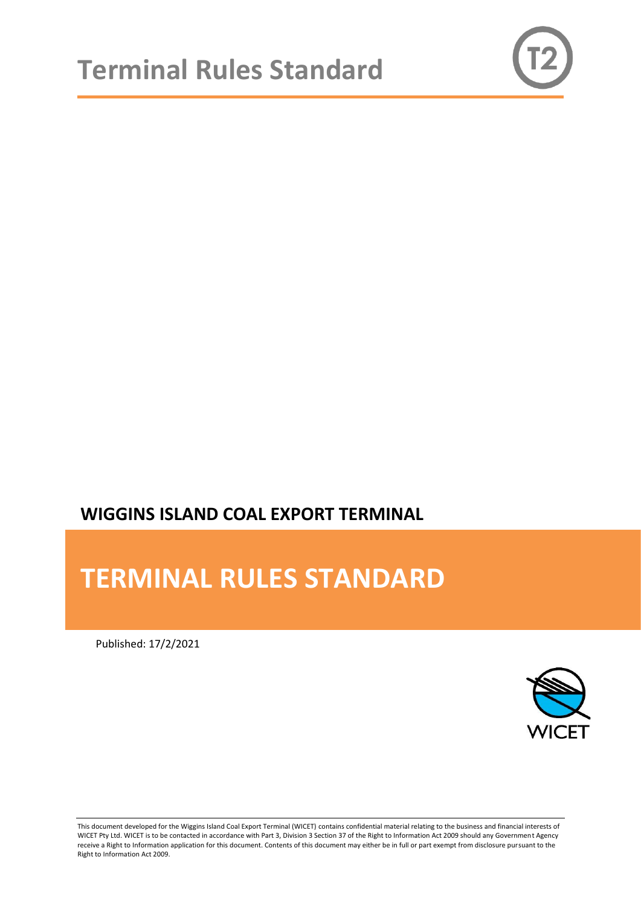

# **WIGGINS ISLAND COAL EXPORT TERMINAL**

# **TERMINAL RULES STANDARD**

Published: 17/2/2021



This document developed for the Wiggins Island Coal Export Terminal (WICET) contains confidential material relating to the business and financial interests of WICET Pty Ltd. WICET is to be contacted in accordance with Part 3, Division 3 Section 37 of the Right to Information Act 2009 should any Government Agency receive a Right to Information application for this document. Contents of this document may either be in full or part exempt from disclosure pursuant to the Right to Information Act 2009.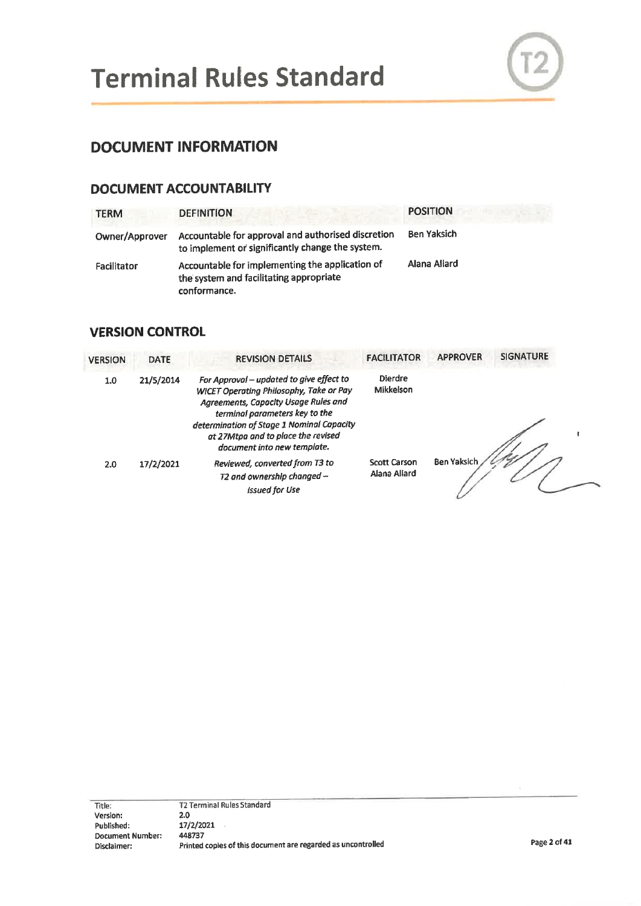

# **DOCUMENT INFORMATION**

#### **DOCUMENT ACCOUNTABILITY**

| <b>TERM</b>    | <b>DEFINITION</b>                                                                                          | <b>POSITION</b> |
|----------------|------------------------------------------------------------------------------------------------------------|-----------------|
| Owner/Approver | Accountable for approval and authorised discretion<br>to implement or significantly change the system.     | Ben Yaksich     |
| Facilitator    | Accountable for implementing the application of<br>the system and facilitating appropriate<br>conformance. | Alana Allard    |

#### **VERSION CONTROL**

| <b>VERSION</b> | <b>DATE</b> | <b>REVISION DETAILS</b>                                                                                                                                                                                                                                                         | <b>FACILITATOR</b>                  | <b>APPROVER</b> | <b>SIGNATURE</b> |
|----------------|-------------|---------------------------------------------------------------------------------------------------------------------------------------------------------------------------------------------------------------------------------------------------------------------------------|-------------------------------------|-----------------|------------------|
| 1.0            | 21/5/2014   | For Approval - updated to give effect to<br>WICET Operating Philosophy, Take or Pay<br>Agreements, Capacity Usage Rules and<br>terminal parameters key to the<br>determination of Stage 1 Nominal Capacity<br>at 27Mtpa and to place the revised<br>document into new template. | <b>Dierdre</b><br>Mikkelson         |                 |                  |
| 2.0            | 17/2/2021   | Reviewed, converted from T3 to<br>T2 and ownership changed -<br><b>Issued for Use</b>                                                                                                                                                                                           | <b>Scott Carson</b><br>Alana Allard | Ben Yaksich     |                  |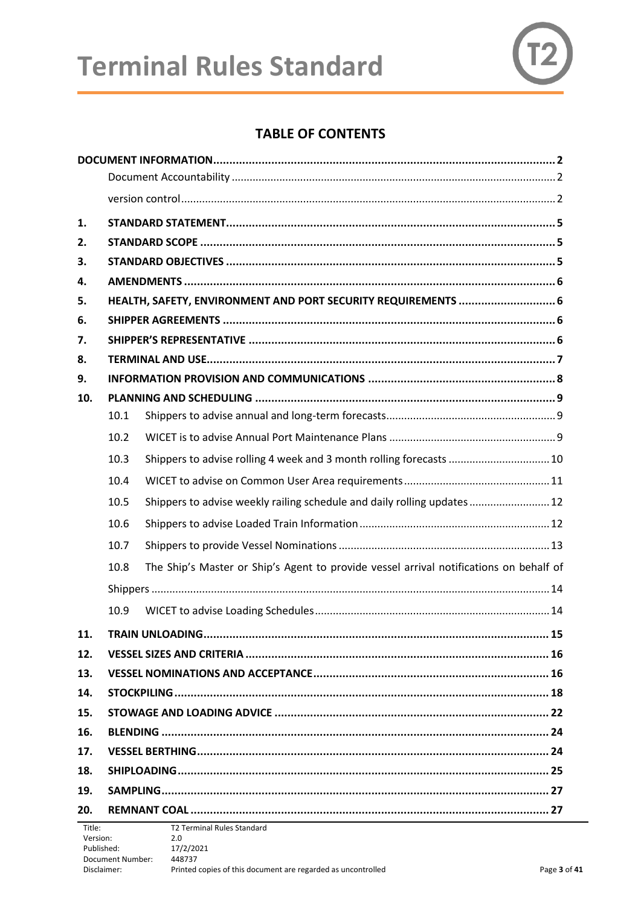# **Terminal Rules Standard**



## **TABLE OF CONTENTS**

| 1.                 |      |                                                                                        |
|--------------------|------|----------------------------------------------------------------------------------------|
| 2.                 |      |                                                                                        |
| 3.                 |      |                                                                                        |
| 4.                 |      |                                                                                        |
| 5.                 |      | HEALTH, SAFETY, ENVIRONMENT AND PORT SECURITY REQUIREMENTS  6                          |
| 6.                 |      |                                                                                        |
| 7.                 |      |                                                                                        |
| 8.                 |      |                                                                                        |
| 9.                 |      |                                                                                        |
| 10.                |      |                                                                                        |
|                    | 10.1 |                                                                                        |
|                    | 10.2 |                                                                                        |
|                    | 10.3 | Shippers to advise rolling 4 week and 3 month rolling forecasts  10                    |
|                    | 10.4 |                                                                                        |
|                    | 10.5 | Shippers to advise weekly railing schedule and daily rolling updates  12               |
|                    | 10.6 |                                                                                        |
|                    | 10.7 |                                                                                        |
|                    | 10.8 | The Ship's Master or Ship's Agent to provide vessel arrival notifications on behalf of |
|                    |      |                                                                                        |
|                    | 10.9 |                                                                                        |
| 11.                |      | <b>TRAIN UNLOADING</b><br>.15                                                          |
| 12.                |      |                                                                                        |
| 13.                |      |                                                                                        |
| 14.                |      |                                                                                        |
| 15.                |      |                                                                                        |
| 16.                |      |                                                                                        |
| 17.                |      |                                                                                        |
| 18.                |      |                                                                                        |
| 19.                |      |                                                                                        |
| 20.                |      |                                                                                        |
| Title:<br>Version: |      | <b>T2 Terminal Rules Standard</b><br>2.0                                               |
| Published:         |      | 17/2/2021                                                                              |

Disclaimer: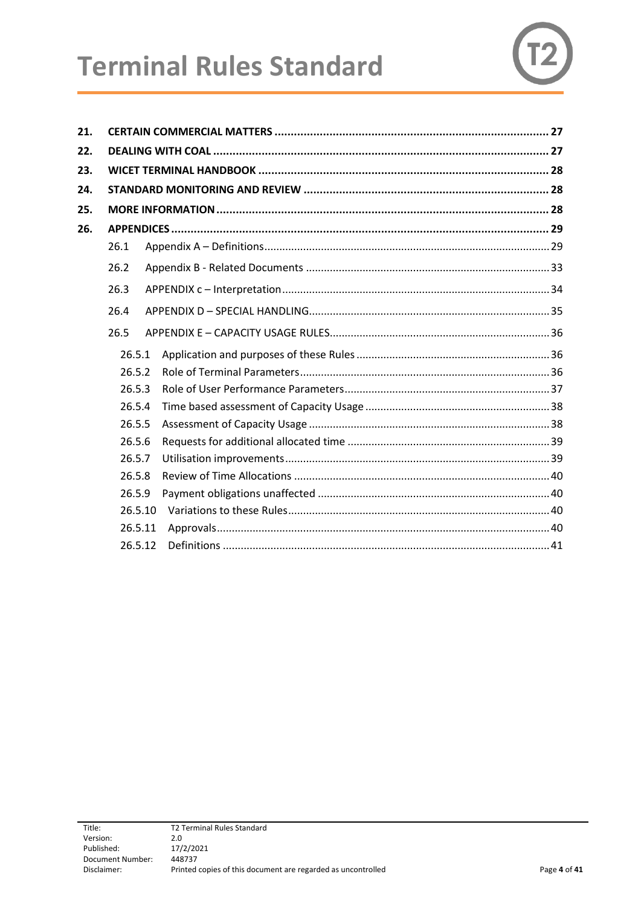| 21. |         |                                                           |
|-----|---------|-----------------------------------------------------------|
| 22. |         |                                                           |
| 23. |         | WICET TERMINAL HANDBOOK ……………………………………………………………………………… 28 |
| 24. |         |                                                           |
| 25. |         |                                                           |
| 26. |         |                                                           |
|     | 26.1    |                                                           |
|     | 26.2    |                                                           |
|     | 26.3    |                                                           |
|     | 26.4    |                                                           |
|     | 26.5    |                                                           |
|     | 26.5.1  |                                                           |
|     | 26.5.2  |                                                           |
|     | 26.5.3  |                                                           |
|     | 26.5.4  |                                                           |
|     | 26.5.5  |                                                           |
|     | 26.5.6  |                                                           |
|     | 26.5.7  |                                                           |
|     | 26.5.8  |                                                           |
|     | 26.5.9  |                                                           |
|     | 26.5.10 |                                                           |
|     | 26.5.11 |                                                           |
|     | 26.5.12 |                                                           |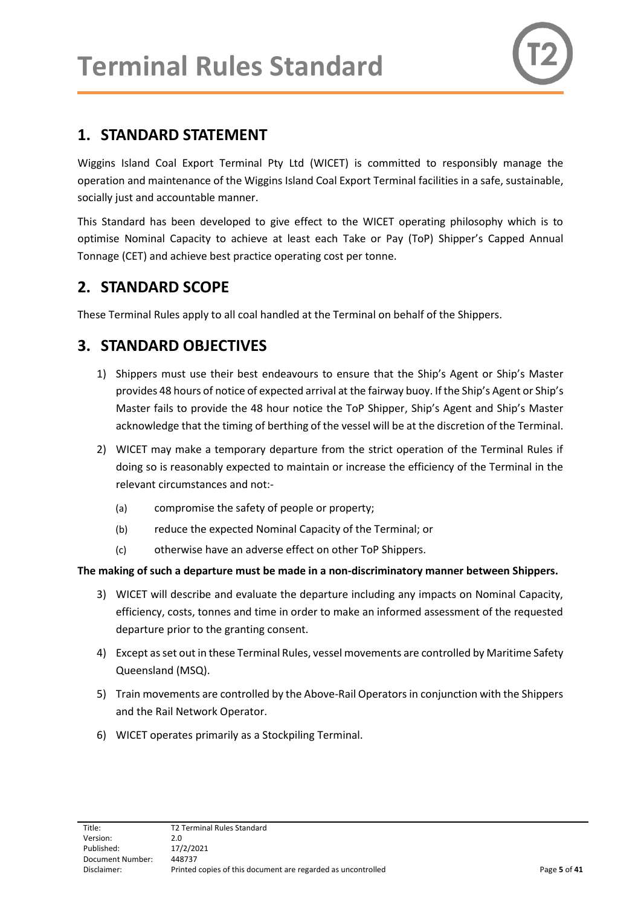

# <span id="page-4-0"></span>**1. STANDARD STATEMENT**

Wiggins Island Coal Export Terminal Pty Ltd (WICET) is committed to responsibly manage the operation and maintenance of the Wiggins Island Coal Export Terminal facilities in a safe, sustainable, socially just and accountable manner.

This Standard has been developed to give effect to the WICET operating philosophy which is to optimise Nominal Capacity to achieve at least each Take or Pay (ToP) Shipper's Capped Annual Tonnage (CET) and achieve best practice operating cost per tonne.

## <span id="page-4-1"></span>**2. STANDARD SCOPE**

These Terminal Rules apply to all coal handled at the Terminal on behalf of the Shippers.

# <span id="page-4-2"></span>**3. STANDARD OBJECTIVES**

- 1) Shippers must use their best endeavours to ensure that the Ship's Agent or Ship's Master provides 48 hours of notice of expected arrival at the fairway buoy. If the Ship's Agent or Ship's Master fails to provide the 48 hour notice the ToP Shipper, Ship's Agent and Ship's Master acknowledge that the timing of berthing of the vessel will be at the discretion of the Terminal.
- 2) WICET may make a temporary departure from the strict operation of the Terminal Rules if doing so is reasonably expected to maintain or increase the efficiency of the Terminal in the relevant circumstances and not:-
	- (a) compromise the safety of people or property;
	- (b) reduce the expected Nominal Capacity of the Terminal; or
	- (c) otherwise have an adverse effect on other ToP Shippers.

#### **The making of such a departure must be made in a non-discriminatory manner between Shippers.**

- 3) WICET will describe and evaluate the departure including any impacts on Nominal Capacity, efficiency, costs, tonnes and time in order to make an informed assessment of the requested departure prior to the granting consent.
- 4) Except as set out in these Terminal Rules, vessel movements are controlled by Maritime Safety Queensland (MSQ).
- 5) Train movements are controlled by the Above-Rail Operators in conjunction with the Shippers and the Rail Network Operator.
- 6) WICET operates primarily as a Stockpiling Terminal.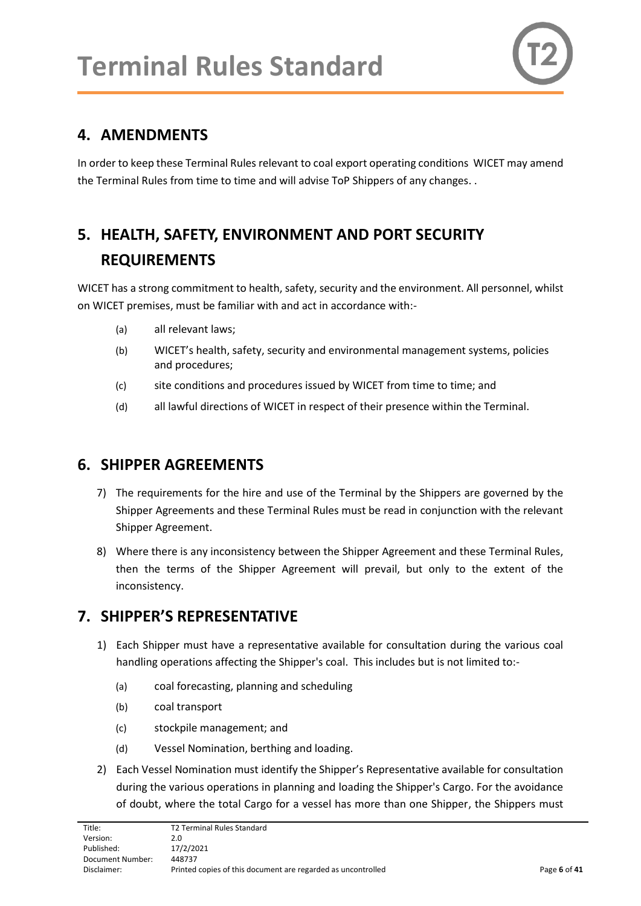

## <span id="page-5-0"></span>**4. AMENDMENTS**

In order to keep these Terminal Rules relevant to coal export operating conditions WICET may amend the Terminal Rules from time to time and will advise ToP Shippers of any changes. .

# <span id="page-5-1"></span>**5. HEALTH, SAFETY, ENVIRONMENT AND PORT SECURITY REQUIREMENTS**

WICET has a strong commitment to health, safety, security and the environment. All personnel, whilst on WICET premises, must be familiar with and act in accordance with:-

- (a) all relevant laws;
- (b) WICET's health, safety, security and environmental management systems, policies and procedures;
- (c) site conditions and procedures issued by WICET from time to time; and
- (d) all lawful directions of WICET in respect of their presence within the Terminal.

### <span id="page-5-2"></span>**6. SHIPPER AGREEMENTS**

- 7) The requirements for the hire and use of the Terminal by the Shippers are governed by the Shipper Agreements and these Terminal Rules must be read in conjunction with the relevant Shipper Agreement.
- 8) Where there is any inconsistency between the Shipper Agreement and these Terminal Rules, then the terms of the Shipper Agreement will prevail, but only to the extent of the inconsistency.

# <span id="page-5-3"></span>**7. SHIPPER'S REPRESENTATIVE**

- 1) Each Shipper must have a representative available for consultation during the various coal handling operations affecting the Shipper's coal. This includes but is not limited to:-
	- (a) coal forecasting, planning and scheduling
	- (b) coal transport
	- (c) stockpile management; and
	- (d) Vessel Nomination, berthing and loading.
- 2) Each Vessel Nomination must identify the Shipper's Representative available for consultation during the various operations in planning and loading the Shipper's Cargo. For the avoidance of doubt, where the total Cargo for a vessel has more than one Shipper, the Shippers must

| Title:           | <b>T2 Terminal Rules Standard</b>                            |              |
|------------------|--------------------------------------------------------------|--------------|
| Version:         | 2.0                                                          |              |
| Published:       | 17/2/2021                                                    |              |
| Document Number: | 448737                                                       |              |
| Disclaimer:      | Printed copies of this document are regarded as uncontrolled | Page 6 of 41 |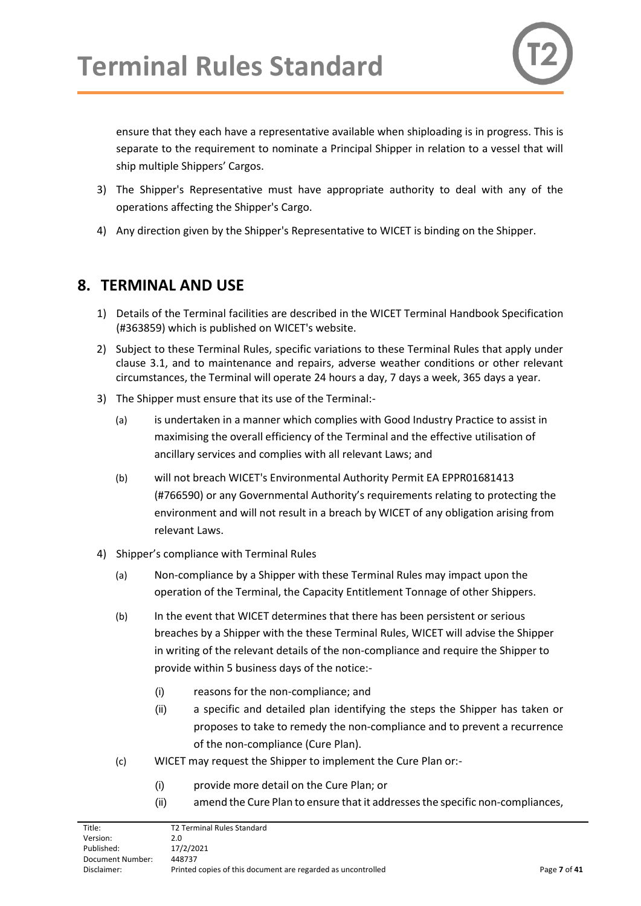ensure that they each have a representative available when shiploading is in progress. This is separate to the requirement to nominate a Principal Shipper in relation to a vessel that will ship multiple Shippers' Cargos.

- 3) The Shipper's Representative must have appropriate authority to deal with any of the operations affecting the Shipper's Cargo.
- 4) Any direction given by the Shipper's Representative to WICET is binding on the Shipper.

## <span id="page-6-0"></span>**8. TERMINAL AND USE**

- 1) Details of the Terminal facilities are described in the WICET Terminal Handbook Specification (#363859) which is published on WICET's website.
- 2) Subject to these Terminal Rules, specific variations to these Terminal Rules that apply under clause 3.1, and to maintenance and repairs, adverse weather conditions or other relevant circumstances, the Terminal will operate 24 hours a day, 7 days a week, 365 days a year.
- 3) The Shipper must ensure that its use of the Terminal:-
	- (a) is undertaken in a manner which complies with Good Industry Practice to assist in maximising the overall efficiency of the Terminal and the effective utilisation of ancillary services and complies with all relevant Laws; and
	- (b) will not breach WICET's Environmental Authority Permit EA EPPR01681413 (#766590) or any Governmental Authority's requirements relating to protecting the environment and will not result in a breach by WICET of any obligation arising from relevant Laws.
- <span id="page-6-1"></span>4) Shipper's compliance with Terminal Rules
	- (a) Non-compliance by a Shipper with these Terminal Rules may impact upon the operation of the Terminal, the Capacity Entitlement Tonnage of other Shippers.
	- (b) In the event that WICET determines that there has been persistent or serious breaches by a Shipper with the these Terminal Rules, WICET will advise the Shipper in writing of the relevant details of the non-compliance and require the Shipper to provide within 5 business days of the notice:-
		- (i) reasons for the non-compliance; and
		- (ii) a specific and detailed plan identifying the steps the Shipper has taken or proposes to take to remedy the non-compliance and to prevent a recurrence of the non-compliance (Cure Plan).
	- (c) WICET may request the Shipper to implement the Cure Plan or:-
		- (i) provide more detail on the Cure Plan; or
		- (ii) amend the Cure Plan to ensure that it addresses the specific non-compliances,

| Title:           | T2 Terminal Rules Standard                                   |              |
|------------------|--------------------------------------------------------------|--------------|
| Version:         | 2.0                                                          |              |
| Published:       | 17/2/2021                                                    |              |
| Document Number: | 448737                                                       |              |
| Disclaimer:      | Printed copies of this document are regarded as uncontrolled | Page 7 of 41 |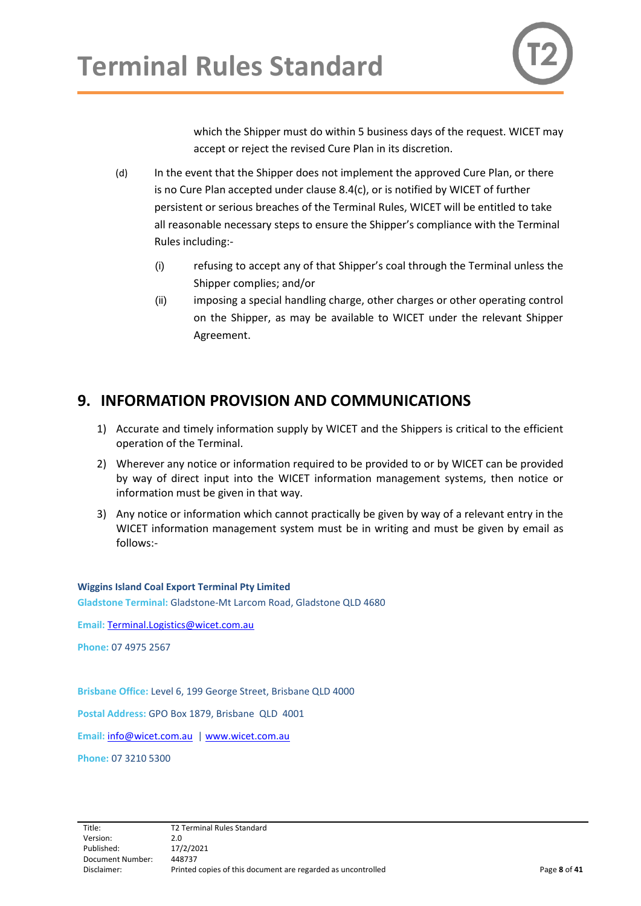which the Shipper must do within 5 business days of the request. WICET may accept or reject the revised Cure Plan in its discretion.

- (d) In the event that the Shipper does not implement the approved Cure Plan, or there is no Cure Plan accepted under clause 8.4(c), or is notified by WICET of further persistent or serious breaches of the Terminal Rules, WICET will be entitled to take all reasonable necessary steps to ensure the Shipper's compliance with the Terminal Rules including:-
	- (i) refusing to accept any of that Shipper's coal through the Terminal unless the Shipper complies; and/or
	- (ii) imposing a special handling charge, other charges or other operating control on the Shipper, as may be available to WICET under the relevant Shipper Agreement.

# <span id="page-7-0"></span>**9. INFORMATION PROVISION AND COMMUNICATIONS**

- 1) Accurate and timely information supply by WICET and the Shippers is critical to the efficient operation of the Terminal.
- 2) Wherever any notice or information required to be provided to or by WICET can be provided by way of direct input into the WICET information management systems, then notice or information must be given in that way.
- 3) Any notice or information which cannot practically be given by way of a relevant entry in the WICET information management system must be in writing and must be given by email as follows:-

**Wiggins Island Coal Export Terminal Pty Limited Gladstone Terminal:** Gladstone-Mt Larcom Road, Gladstone QLD 4680

**Email:** [Terminal.Logistics@wicet.com.au](mailto:Terminal.Logistics@wicet.com.au)

**Phone:** 07 4975 2567

**Brisbane Office:** Level 6, 199 George Street, Brisbane QLD 4000

**Postal Address:** GPO Box 1879, Brisbane QLD 4001

**Email:** [info@wicet.com.au](mailto:info@wicet.com.au) [| www.wicet.com.au](http://www.wicet.com.au/)

**Phone:** 07 3210 5300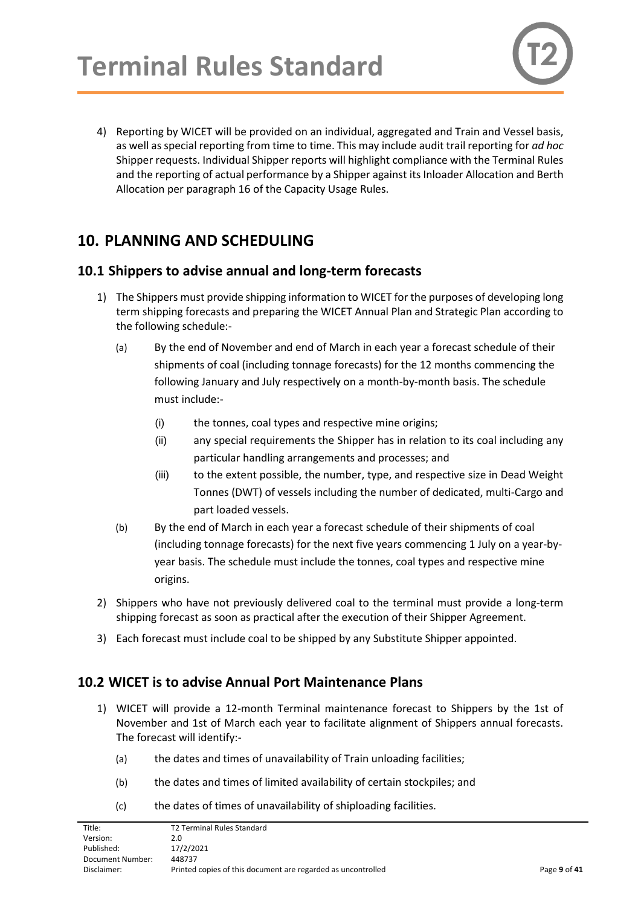4) Reporting by WICET will be provided on an individual, aggregated and Train and Vessel basis, as well as special reporting from time to time. This may include audit trail reporting for *ad hoc* Shipper requests. Individual Shipper reports will highlight compliance with the Terminal Rules and the reporting of actual performance by a Shipper against its Inloader Allocation and Berth Allocation per paragraph 16 of the Capacity Usage Rules.

# <span id="page-8-0"></span>**10. PLANNING AND SCHEDULING**

#### <span id="page-8-1"></span>**10.1 Shippers to advise annual and long-term forecasts**

- 1) The Shippers must provide shipping information to WICET for the purposes of developing long term shipping forecasts and preparing the WICET Annual Plan and Strategic Plan according to the following schedule:-
	- (a) By the end of November and end of March in each year a forecast schedule of their shipments of coal (including tonnage forecasts) for the 12 months commencing the following January and July respectively on a month-by-month basis. The schedule must include:-
		- (i) the tonnes, coal types and respective mine origins;
		- (ii) any special requirements the Shipper has in relation to its coal including any particular handling arrangements and processes; and
		- (iii) to the extent possible, the number, type, and respective size in Dead Weight Tonnes (DWT) of vessels including the number of dedicated, multi-Cargo and part loaded vessels.
	- (b) By the end of March in each year a forecast schedule of their shipments of coal (including tonnage forecasts) for the next five years commencing 1 July on a year-byyear basis. The schedule must include the tonnes, coal types and respective mine origins.
- 2) Shippers who have not previously delivered coal to the terminal must provide a long-term shipping forecast as soon as practical after the execution of their Shipper Agreement.
- 3) Each forecast must include coal to be shipped by any Substitute Shipper appointed.

### <span id="page-8-2"></span>**10.2 WICET is to advise Annual Port Maintenance Plans**

- 1) WICET will provide a 12-month Terminal maintenance forecast to Shippers by the 1st of November and 1st of March each year to facilitate alignment of Shippers annual forecasts. The forecast will identify:-
	- (a) the dates and times of unavailability of Train unloading facilities;
	- (b) the dates and times of limited availability of certain stockpiles; and
	- (c) the dates of times of unavailability of shiploading facilities.

| Title:           | T2 Terminal Rules Standard                                   |              |
|------------------|--------------------------------------------------------------|--------------|
| Version:         | 2.0                                                          |              |
| Published:       | 17/2/2021                                                    |              |
| Document Number: | 448737                                                       |              |
| Disclaimer:      | Printed copies of this document are regarded as uncontrolled | Page 9 of 41 |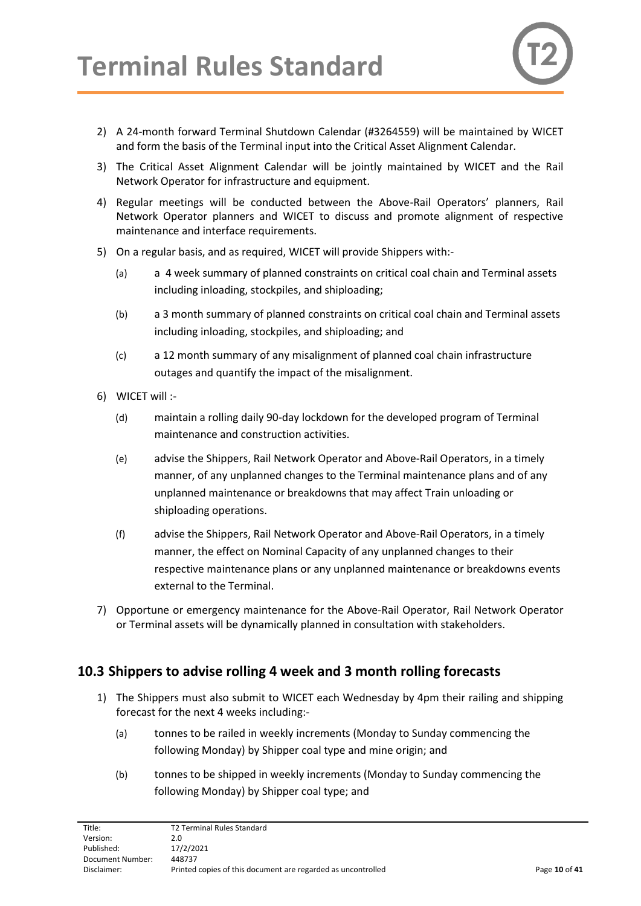

- 2) A 24-month forward Terminal Shutdown Calendar (#3264559) will be maintained by WICET and form the basis of the Terminal input into the Critical Asset Alignment Calendar.
- 3) The Critical Asset Alignment Calendar will be jointly maintained by WICET and the Rail Network Operator for infrastructure and equipment.
- 4) Regular meetings will be conducted between the Above-Rail Operators' planners, Rail Network Operator planners and WICET to discuss and promote alignment of respective maintenance and interface requirements.
- 5) On a regular basis, and as required, WICET will provide Shippers with:-
	- (a) a 4 week summary of planned constraints on critical coal chain and Terminal assets including inloading, stockpiles, and shiploading;
	- (b) a 3 month summary of planned constraints on critical coal chain and Terminal assets including inloading, stockpiles, and shiploading; and
	- (c) a 12 month summary of any misalignment of planned coal chain infrastructure outages and quantify the impact of the misalignment.
- 6) WICET will :-
	- (d) maintain a rolling daily 90-day lockdown for the developed program of Terminal maintenance and construction activities.
	- (e) advise the Shippers, Rail Network Operator and Above-Rail Operators, in a timely manner, of any unplanned changes to the Terminal maintenance plans and of any unplanned maintenance or breakdowns that may affect Train unloading or shiploading operations.
	- (f) advise the Shippers, Rail Network Operator and Above-Rail Operators, in a timely manner, the effect on Nominal Capacity of any unplanned changes to their respective maintenance plans or any unplanned maintenance or breakdowns events external to the Terminal.
- 7) Opportune or emergency maintenance for the Above-Rail Operator, Rail Network Operator or Terminal assets will be dynamically planned in consultation with stakeholders.

#### <span id="page-9-0"></span>**10.3 Shippers to advise rolling 4 week and 3 month rolling forecasts**

- 1) The Shippers must also submit to WICET each Wednesday by 4pm their railing and shipping forecast for the next 4 weeks including:-
	- (a) tonnes to be railed in weekly increments (Monday to Sunday commencing the following Monday) by Shipper coal type and mine origin; and
	- (b) tonnes to be shipped in weekly increments (Monday to Sunday commencing the following Monday) by Shipper coal type; and

| <b>T2 Terminal Rules Standard</b> |                                                              |
|-----------------------------------|--------------------------------------------------------------|
| 2.0                               |                                                              |
| 17/2/2021                         |                                                              |
| 448737                            |                                                              |
|                                   | Page 10 of 41                                                |
|                                   | Printed copies of this document are regarded as uncontrolled |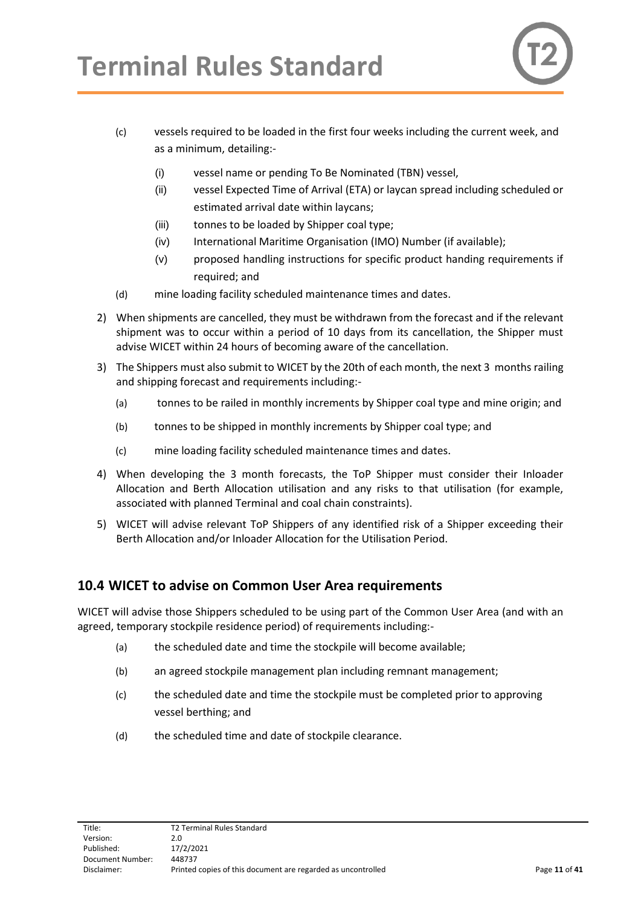

- (c) vessels required to be loaded in the first four weeks including the current week, and as a minimum, detailing:-
	- (i) vessel name or pending To Be Nominated (TBN) vessel,
	- (ii) vessel Expected Time of Arrival (ETA) or laycan spread including scheduled or estimated arrival date within laycans;
	- (iii) tonnes to be loaded by Shipper coal type;
	- (iv) International Maritime Organisation (IMO) Number (if available);
	- (v) proposed handling instructions for specific product handing requirements if required; and
- (d) mine loading facility scheduled maintenance times and dates.
- 2) When shipments are cancelled, they must be withdrawn from the forecast and if the relevant shipment was to occur within a period of 10 days from its cancellation, the Shipper must advise WICET within 24 hours of becoming aware of the cancellation.
- 3) The Shippers must also submit to WICET by the 20th of each month, the next 3 months railing and shipping forecast and requirements including:-
	- (a) tonnes to be railed in monthly increments by Shipper coal type and mine origin; and
	- (b) tonnes to be shipped in monthly increments by Shipper coal type; and
	- (c) mine loading facility scheduled maintenance times and dates.
- 4) When developing the 3 month forecasts, the ToP Shipper must consider their Inloader Allocation and Berth Allocation utilisation and any risks to that utilisation (for example, associated with planned Terminal and coal chain constraints).
- 5) WICET will advise relevant ToP Shippers of any identified risk of a Shipper exceeding their Berth Allocation and/or Inloader Allocation for the Utilisation Period.

#### <span id="page-10-0"></span>**10.4 WICET to advise on Common User Area requirements**

WICET will advise those Shippers scheduled to be using part of the Common User Area (and with an agreed, temporary stockpile residence period) of requirements including:-

- (a) the scheduled date and time the stockpile will become available;
- (b) an agreed stockpile management plan including remnant management;
- (c) the scheduled date and time the stockpile must be completed prior to approving vessel berthing; and
- (d) the scheduled time and date of stockpile clearance.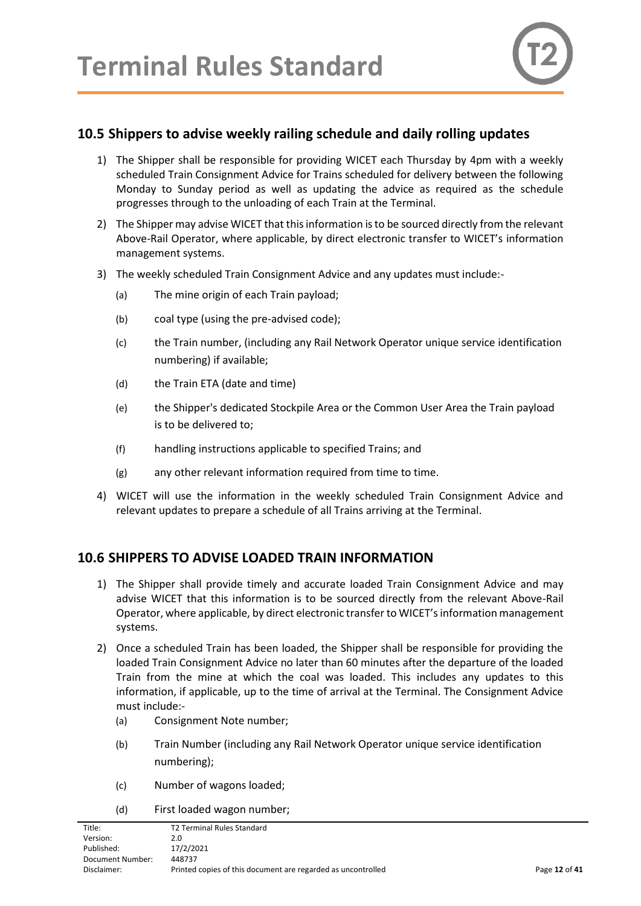

#### <span id="page-11-0"></span>**10.5 Shippers to advise weekly railing schedule and daily rolling updates**

- 1) The Shipper shall be responsible for providing WICET each Thursday by 4pm with a weekly scheduled Train Consignment Advice for Trains scheduled for delivery between the following Monday to Sunday period as well as updating the advice as required as the schedule progresses through to the unloading of each Train at the Terminal.
- 2) The Shipper may advise WICET that this information is to be sourced directly from the relevant Above-Rail Operator, where applicable, by direct electronic transfer to WICET's information management systems.
- 3) The weekly scheduled Train Consignment Advice and any updates must include:-
	- (a) The mine origin of each Train payload;
	- (b) coal type (using the pre-advised code);
	- (c) the Train number, (including any Rail Network Operator unique service identification numbering) if available;
	- (d) the Train ETA (date and time)
	- (e) the Shipper's dedicated Stockpile Area or the Common User Area the Train payload is to be delivered to;
	- (f) handling instructions applicable to specified Trains; and
	- (g) any other relevant information required from time to time.
- 4) WICET will use the information in the weekly scheduled Train Consignment Advice and relevant updates to prepare a schedule of all Trains arriving at the Terminal.

#### <span id="page-11-1"></span>**10.6 SHIPPERS TO ADVISE LOADED TRAIN INFORMATION**

- 1) The Shipper shall provide timely and accurate loaded Train Consignment Advice and may advise WICET that this information is to be sourced directly from the relevant Above-Rail Operator, where applicable, by direct electronic transfer to WICET's information management systems.
- 2) Once a scheduled Train has been loaded, the Shipper shall be responsible for providing the loaded Train Consignment Advice no later than 60 minutes after the departure of the loaded Train from the mine at which the coal was loaded. This includes any updates to this information, if applicable, up to the time of arrival at the Terminal. The Consignment Advice must include:-
	- (a) Consignment Note number;
	- (b) Train Number (including any Rail Network Operator unique service identification numbering);
	- (c) Number of wagons loaded;
	- (d) First loaded wagon number;

| Title:           | <b>T2 Terminal Rules Standard</b>                            |               |
|------------------|--------------------------------------------------------------|---------------|
| Version:         | 2.0                                                          |               |
| Published:       | 17/2/2021                                                    |               |
| Document Number: | 448737                                                       |               |
| Disclaimer:      | Printed copies of this document are regarded as uncontrolled | Page 12 of 41 |
|                  |                                                              |               |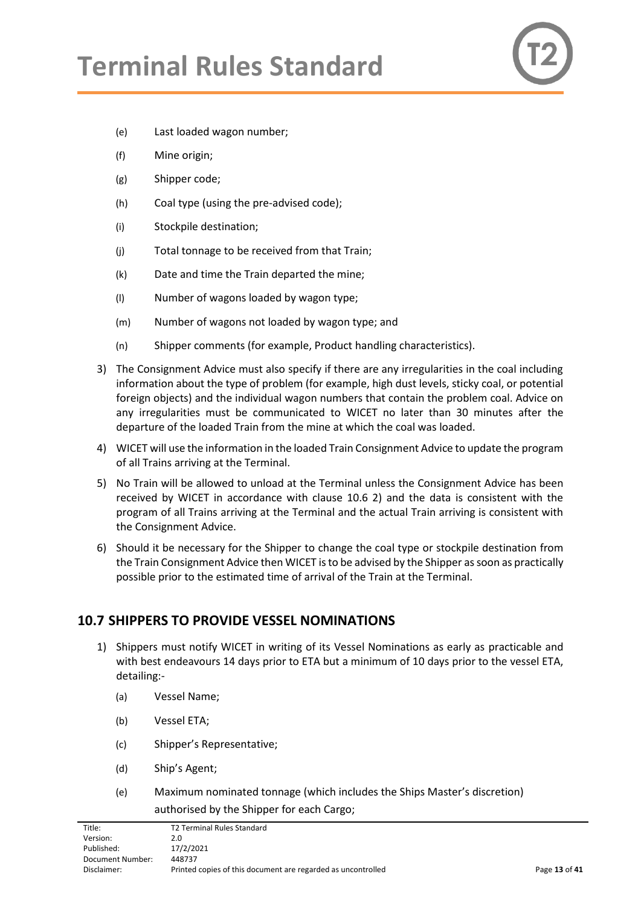

- (e) Last loaded wagon number;
- (f) Mine origin;
- (g) Shipper code;
- (h) Coal type (using the pre-advised code);
- (i) Stockpile destination;
- (j) Total tonnage to be received from that Train;
- (k) Date and time the Train departed the mine;
- (l) Number of wagons loaded by wagon type;
- (m) Number of wagons not loaded by wagon type; and
- (n) Shipper comments (for example, Product handling characteristics).
- 3) The Consignment Advice must also specify if there are any irregularities in the coal including information about the type of problem (for example, high dust levels, sticky coal, or potential foreign objects) and the individual wagon numbers that contain the problem coal. Advice on any irregularities must be communicated to WICET no later than 30 minutes after the departure of the loaded Train from the mine at which the coal was loaded.
- 4) WICET will use the information in the loaded Train Consignment Advice to update the program of all Trains arriving at the Terminal.
- 5) No Train will be allowed to unload at the Terminal unless the Consignment Advice has been received by WICET in accordance with clause 10.6 2) and the data is consistent with the program of all Trains arriving at the Terminal and the actual Train arriving is consistent with the Consignment Advice.
- 6) Should it be necessary for the Shipper to change the coal type or stockpile destination from the Train Consignment Advice then WICET isto be advised by the Shipper as soon as practically possible prior to the estimated time of arrival of the Train at the Terminal.

#### <span id="page-12-0"></span>**10.7 SHIPPERS TO PROVIDE VESSEL NOMINATIONS**

- 1) Shippers must notify WICET in writing of its Vessel Nominations as early as practicable and with best endeavours 14 days prior to ETA but a minimum of 10 days prior to the vessel ETA, detailing:-
	- (a) Vessel Name;
	- (b) Vessel ETA;
	- (c) Shipper's Representative;
	- (d) Ship's Agent;
	- (e) Maximum nominated tonnage (which includes the Ships Master's discretion) authorised by the Shipper for each Cargo;

| Title:           | <b>T2 Terminal Rules Standard</b>                            |               |
|------------------|--------------------------------------------------------------|---------------|
| Version:         | 2.0                                                          |               |
| Published:       | 17/2/2021                                                    |               |
| Document Number: | 448737                                                       |               |
| Disclaimer:      | Printed copies of this document are regarded as uncontrolled | Page 13 of 41 |
|                  |                                                              |               |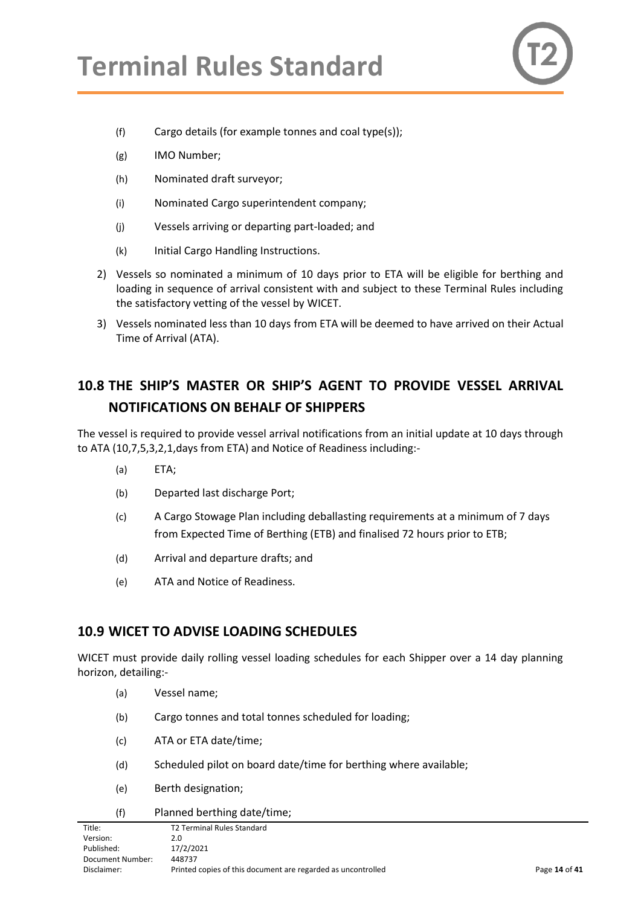

- (f) Cargo details (for example tonnes and coal type(s));
- (g) IMO Number;
- (h) Nominated draft surveyor;
- (i) Nominated Cargo superintendent company;
- (j) Vessels arriving or departing part-loaded; and
- (k) Initial Cargo Handling Instructions.
- 2) Vessels so nominated a minimum of 10 days prior to ETA will be eligible for berthing and loading in sequence of arrival consistent with and subject to these Terminal Rules including the satisfactory vetting of the vessel by WICET.
- 3) Vessels nominated less than 10 days from ETA will be deemed to have arrived on their Actual Time of Arrival (ATA).

## <span id="page-13-0"></span>**10.8 THE SHIP'S MASTER OR SHIP'S AGENT TO PROVIDE VESSEL ARRIVAL NOTIFICATIONS ON BEHALF OF SHIPPERS**

The vessel is required to provide vessel arrival notifications from an initial update at 10 days through to ATA (10,7,5,3,2,1,days from ETA) and Notice of Readiness including:-

- (a) ETA;
- (b) Departed last discharge Port;
- (c) A Cargo Stowage Plan including deballasting requirements at a minimum of 7 days from Expected Time of Berthing (ETB) and finalised 72 hours prior to ETB;
- (d) Arrival and departure drafts; and
- (e) ATA and Notice of Readiness.

#### <span id="page-13-1"></span>**10.9 WICET TO ADVISE LOADING SCHEDULES**

WICET must provide daily rolling vessel loading schedules for each Shipper over a 14 day planning horizon, detailing:-

- (a) Vessel name;
- (b) Cargo tonnes and total tonnes scheduled for loading;
- (c) ATA or ETA date/time;
- (d) Scheduled pilot on board date/time for berthing where available;
- (e) Berth designation;

#### (f) Planned berthing date/time;

| Title:           | <b>T2 Terminal Rules Standard</b>                            |               |
|------------------|--------------------------------------------------------------|---------------|
| Version:         | 2.0                                                          |               |
| Published:       | 17/2/2021                                                    |               |
| Document Number: | 448737                                                       |               |
| Disclaimer:      | Printed copies of this document are regarded as uncontrolled | Page 14 of 41 |
|                  |                                                              |               |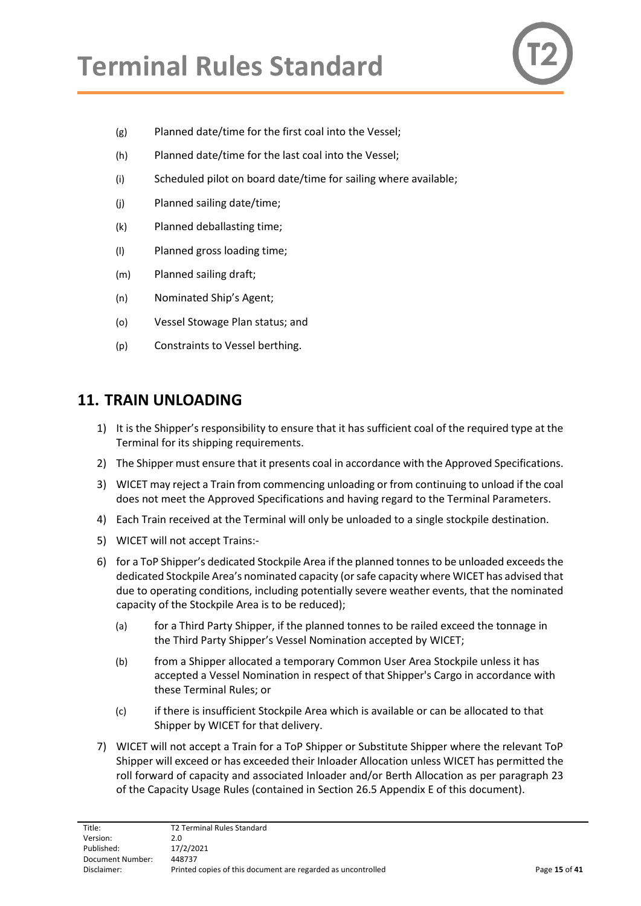

- (g) Planned date/time for the first coal into the Vessel;
- (h) Planned date/time for the last coal into the Vessel;
- (i) Scheduled pilot on board date/time for sailing where available;
- (j) Planned sailing date/time;
- (k) Planned deballasting time;
- (l) Planned gross loading time;
- (m) Planned sailing draft;
- (n) Nominated Ship's Agent;
- (o) Vessel Stowage Plan status; and
- (p) Constraints to Vessel berthing.

### <span id="page-14-0"></span>**11. TRAIN UNLOADING**

- 1) It is the Shipper's responsibility to ensure that it has sufficient coal of the required type at the Terminal for its shipping requirements.
- 2) The Shipper must ensure that it presents coal in accordance with the Approved Specifications.
- 3) WICET may reject a Train from commencing unloading or from continuing to unload if the coal does not meet the Approved Specifications and having regard to the Terminal Parameters.
- 4) Each Train received at the Terminal will only be unloaded to a single stockpile destination.
- 5) WICET will not accept Trains:-
- 6) for a ToP Shipper's dedicated Stockpile Area if the planned tonnes to be unloaded exceeds the dedicated Stockpile Area's nominated capacity (or safe capacity where WICET has advised that due to operating conditions, including potentially severe weather events, that the nominated capacity of the Stockpile Area is to be reduced);
	- (a) for a Third Party Shipper, if the planned tonnes to be railed exceed the tonnage in the Third Party Shipper's Vessel Nomination accepted by WICET;
	- (b) from a Shipper allocated a temporary Common User Area Stockpile unless it has accepted a Vessel Nomination in respect of that Shipper's Cargo in accordance with these Terminal Rules; or
	- (c) if there is insufficient Stockpile Area which is available or can be allocated to that Shipper by WICET for that delivery.
- 7) WICET will not accept a Train for a ToP Shipper or Substitute Shipper where the relevant ToP Shipper will exceed or has exceeded their Inloader Allocation unless WICET has permitted the roll forward of capacity and associated Inloader and/or Berth Allocation as per paragraph 23 of the Capacity Usage Rules (contained in Section 26.5 Appendix E of this document).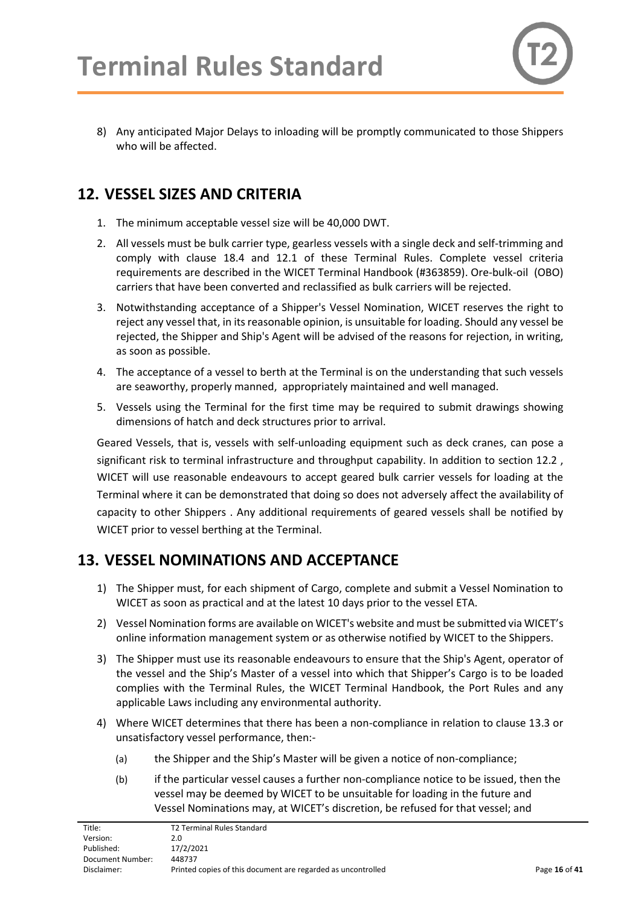8) Any anticipated Major Delays to inloading will be promptly communicated to those Shippers who will be affected.

# <span id="page-15-0"></span>**12. VESSEL SIZES AND CRITERIA**

- 1. The minimum acceptable vessel size will be 40,000 DWT.
- 2. All vessels must be bulk carrier type, gearless vessels with a single deck and self-trimming and comply with clause 18.4 and 12.1 of these Terminal Rules. Complete vessel criteria requirements are described in the WICET Terminal Handbook (#363859). Ore-bulk-oil (OBO) carriers that have been converted and reclassified as bulk carriers will be rejected.
- 3. Notwithstanding acceptance of a Shipper's Vessel Nomination, WICET reserves the right to reject any vessel that, in its reasonable opinion, is unsuitable for loading. Should any vessel be rejected, the Shipper and Ship's Agent will be advised of the reasons for rejection, in writing, as soon as possible.
- 4. The acceptance of a vessel to berth at the Terminal is on the understanding that such vessels are seaworthy, properly manned, appropriately maintained and well managed.
- 5. Vessels using the Terminal for the first time may be required to submit drawings showing dimensions of hatch and deck structures prior to arrival.

Geared Vessels, that is, vessels with self-unloading equipment such as deck cranes, can pose a significant risk to terminal infrastructure and throughput capability. In addition to section 12.2, WICET will use reasonable endeavours to accept geared bulk carrier vessels for loading at the Terminal where it can be demonstrated that doing so does not adversely affect the availability of capacity to other Shippers . Any additional requirements of geared vessels shall be notified by WICET prior to vessel berthing at the Terminal.

# <span id="page-15-1"></span>**13. VESSEL NOMINATIONS AND ACCEPTANCE**

- 1) The Shipper must, for each shipment of Cargo, complete and submit a Vessel Nomination to WICET as soon as practical and at the latest 10 days prior to the vessel ETA.
- 2) Vessel Nomination forms are available on WICET's website and must be submitted via WICET's online information management system or as otherwise notified by WICET to the Shippers.
- 3) The Shipper must use its reasonable endeavours to ensure that the Ship's Agent, operator of the vessel and the Ship's Master of a vessel into which that Shipper's Cargo is to be loaded complies with the Terminal Rules, the WICET Terminal Handbook, the Port Rules and any applicable Laws including any environmental authority.
- 4) Where WICET determines that there has been a non-compliance in relation to clause 13.3 or unsatisfactory vessel performance, then:-
	- (a) the Shipper and the Ship's Master will be given a notice of non-compliance;
	- (b) if the particular vessel causes a further non-compliance notice to be issued, then the vessel may be deemed by WICET to be unsuitable for loading in the future and Vessel Nominations may, at WICET's discretion, be refused for that vessel; and

| Title:           | <b>T2 Terminal Rules Standard</b>                            |               |
|------------------|--------------------------------------------------------------|---------------|
| Version:         | 2.0                                                          |               |
| Published:       | 17/2/2021                                                    |               |
| Document Number: | 448737                                                       |               |
| Disclaimer:      | Printed copies of this document are regarded as uncontrolled | Page 16 of 41 |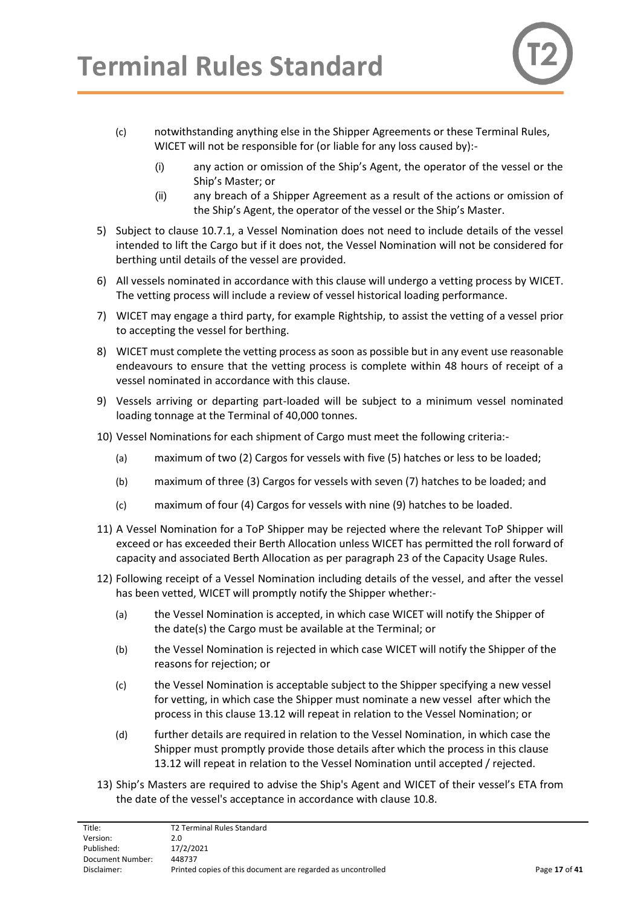

- (c) notwithstanding anything else in the Shipper Agreements or these Terminal Rules, WICET will not be responsible for (or liable for any loss caused by):-
	- (i) any action or omission of the Ship's Agent, the operator of the vessel or the Ship's Master; or
	- (ii) any breach of a Shipper Agreement as a result of the actions or omission of the Ship's Agent, the operator of the vessel or the Ship's Master.
- 5) Subject to clause [10.7.](#page-12-0)1, a Vessel Nomination does not need to include details of the vessel intended to lift the Cargo but if it does not, the Vessel Nomination will not be considered for berthing until details of the vessel are provided.
- 6) All vessels nominated in accordance with this clause will undergo a vetting process by WICET. The vetting process will include a review of vessel historical loading performance.
- 7) WICET may engage a third party, for example Rightship, to assist the vetting of a vessel prior to accepting the vessel for berthing.
- 8) WICET must complete the vetting process as soon as possible but in any event use reasonable endeavours to ensure that the vetting process is complete within 48 hours of receipt of a vessel nominated in accordance with this clause.
- 9) Vessels arriving or departing part-loaded will be subject to a minimum vessel nominated loading tonnage at the Terminal of 40,000 tonnes.
- 10) Vessel Nominations for each shipment of Cargo must meet the following criteria:-
	- (a) maximum of two (2) Cargos for vessels with five (5) hatches or less to be loaded;
	- (b) maximum of three (3) Cargos for vessels with seven (7) hatches to be loaded; and
	- (c) maximum of four (4) Cargos for vessels with nine (9) hatches to be loaded.
- 11) A Vessel Nomination for a ToP Shipper may be rejected where the relevant ToP Shipper will exceed or has exceeded their Berth Allocation unless WICET has permitted the roll forward of capacity and associated Berth Allocation as per paragraph 23 of the Capacity Usage Rules.
- 12) Following receipt of a Vessel Nomination including details of the vessel, and after the vessel has been vetted, WICET will promptly notify the Shipper whether:-
	- (a) the Vessel Nomination is accepted, in which case WICET will notify the Shipper of the date(s) the Cargo must be available at the Terminal; or
	- (b) the Vessel Nomination is rejected in which case WICET will notify the Shipper of the reasons for rejection; or
	- (c) the Vessel Nomination is acceptable subject to the Shipper specifying a new vessel for vetting, in which case the Shipper must nominate a new vessel after which the process in this clause 13.12 will repeat in relation to the Vessel Nomination; or
	- (d) further details are required in relation to the Vessel Nomination, in which case the Shipper must promptly provide those details after which the process in this clause 13.12 will repeat in relation to the Vessel Nomination until accepted / rejected.
- 13) Ship's Masters are required to advise the Ship's Agent and WICET of their vessel's ETA from the date of the vessel's acceptance in accordance with clause 10.8.

| Title:           | T2 Terminal Rules Standard                                   |               |
|------------------|--------------------------------------------------------------|---------------|
| Version:         | 2.0                                                          |               |
| Published:       | 17/2/2021                                                    |               |
| Document Number: | 448737                                                       |               |
| Disclaimer:      | Printed copies of this document are regarded as uncontrolled | Page 17 of 41 |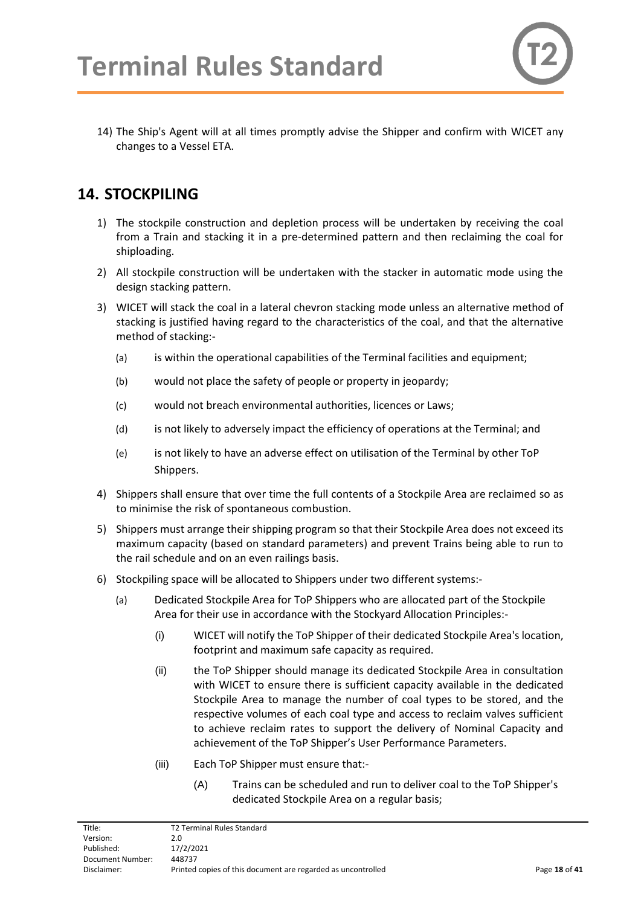14) The Ship's Agent will at all times promptly advise the Shipper and confirm with WICET any changes to a Vessel ETA.

# <span id="page-17-0"></span>**14. STOCKPILING**

- 1) The stockpile construction and depletion process will be undertaken by receiving the coal from a Train and stacking it in a pre-determined pattern and then reclaiming the coal for shiploading.
- 2) All stockpile construction will be undertaken with the stacker in automatic mode using the design stacking pattern.
- 3) WICET will stack the coal in a lateral chevron stacking mode unless an alternative method of stacking is justified having regard to the characteristics of the coal, and that the alternative method of stacking:-
	- (a) is within the operational capabilities of the Terminal facilities and equipment;
	- (b) would not place the safety of people or property in jeopardy;
	- (c) would not breach environmental authorities, licences or Laws;
	- (d) is not likely to adversely impact the efficiency of operations at the Terminal; and
	- (e) is not likely to have an adverse effect on utilisation of the Terminal by other ToP Shippers.
- 4) Shippers shall ensure that over time the full contents of a Stockpile Area are reclaimed so as to minimise the risk of spontaneous combustion.
- 5) Shippers must arrange their shipping program so that their Stockpile Area does not exceed its maximum capacity (based on standard parameters) and prevent Trains being able to run to the rail schedule and on an even railings basis.
- 6) Stockpiling space will be allocated to Shippers under two different systems:-
	- (a) Dedicated Stockpile Area for ToP Shippers who are allocated part of the Stockpile Area for their use in accordance with the Stockyard Allocation Principles:-
		- (i) WICET will notify the ToP Shipper of their dedicated Stockpile Area's location, footprint and maximum safe capacity as required.
		- (ii) the ToP Shipper should manage its dedicated Stockpile Area in consultation with WICET to ensure there is sufficient capacity available in the dedicated Stockpile Area to manage the number of coal types to be stored, and the respective volumes of each coal type and access to reclaim valves sufficient to achieve reclaim rates to support the delivery of Nominal Capacity and achievement of the ToP Shipper's User Performance Parameters.
		- (iii) Each ToP Shipper must ensure that:-
			- (A) Trains can be scheduled and run to deliver coal to the ToP Shipper's dedicated Stockpile Area on a regular basis;

| Title:           | T2 Terminal Rules Standard                                   |               |
|------------------|--------------------------------------------------------------|---------------|
| Version:         | 2.0                                                          |               |
| Published:       | 17/2/2021                                                    |               |
| Document Number: | 448737                                                       |               |
| Disclaimer:      | Printed copies of this document are regarded as uncontrolled | Page 18 of 41 |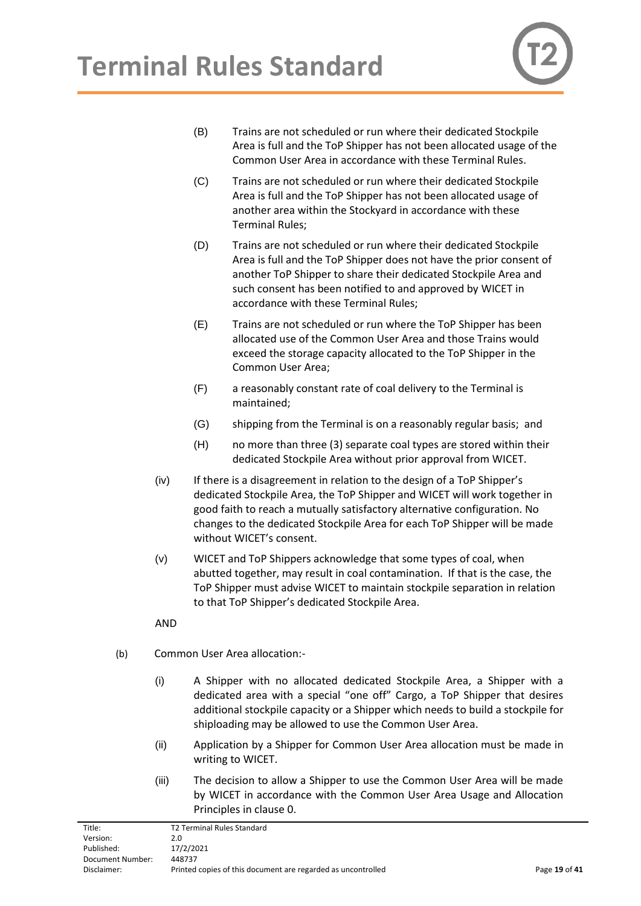

- (B) Trains are not scheduled or run where their dedicated Stockpile Area is full and the ToP Shipper has not been allocated usage of the Common User Area in accordance with these Terminal Rules.
- (C) Trains are not scheduled or run where their dedicated Stockpile Area is full and the ToP Shipper has not been allocated usage of another area within the Stockyard in accordance with these Terminal Rules;
- (D) Trains are not scheduled or run where their dedicated Stockpile Area is full and the ToP Shipper does not have the prior consent of another ToP Shipper to share their dedicated Stockpile Area and such consent has been notified to and approved by WICET in accordance with these Terminal Rules;
- (E) Trains are not scheduled or run where the ToP Shipper has been allocated use of the Common User Area and those Trains would exceed the storage capacity allocated to the ToP Shipper in the Common User Area;
- (F) a reasonably constant rate of coal delivery to the Terminal is maintained;
- (G) shipping from the Terminal is on a reasonably regular basis; and
- (H) no more than three (3) separate coal types are stored within their dedicated Stockpile Area without prior approval from WICET.
- (iv) If there is a disagreement in relation to the design of a ToP Shipper's dedicated Stockpile Area, the ToP Shipper and WICET will work together in good faith to reach a mutually satisfactory alternative configuration. No changes to the dedicated Stockpile Area for each ToP Shipper will be made without WICET's consent.
- (v) WICET and ToP Shippers acknowledge that some types of coal, when abutted together, may result in coal contamination. If that is the case, the ToP Shipper must advise WICET to maintain stockpile separation in relation to that ToP Shipper's dedicated Stockpile Area.

AND

- (b) Common User Area allocation:-
	- (i) A Shipper with no allocated dedicated Stockpile Area, a Shipper with a dedicated area with a special "one off" Cargo, a ToP Shipper that desires additional stockpile capacity or a Shipper which needs to build a stockpile for shiploading may be allowed to use the Common User Area.
	- (ii) Application by a Shipper for Common User Area allocation must be made in writing to WICET.
	- (iii) The decision to allow a Shipper to use the Common User Area will be made by WICET in accordance with the Common User Area Usage and Allocation Principles in clause [0.](#page-19-0)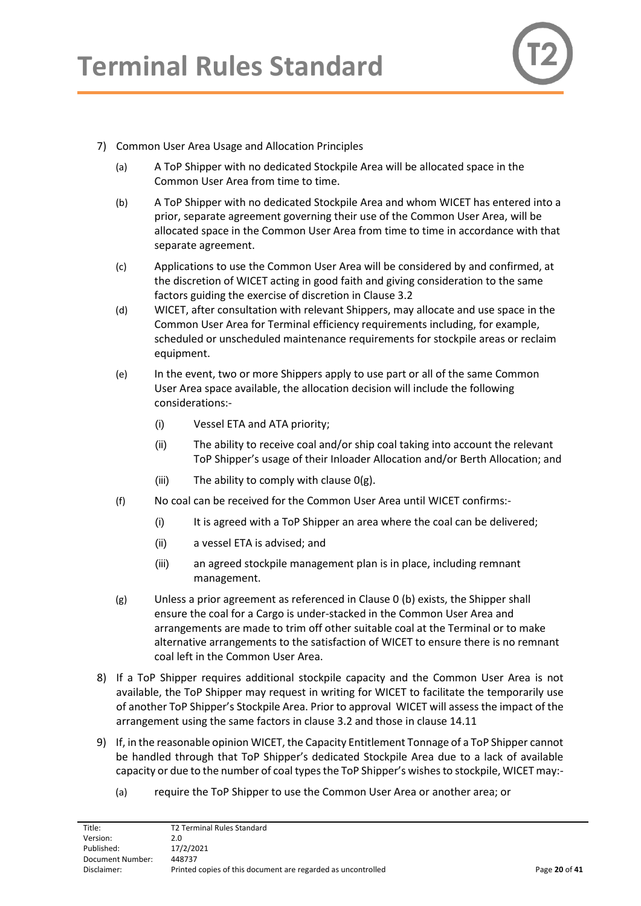

#### <span id="page-19-0"></span>7) Common User Area Usage and Allocation Principles

- (a) A ToP Shipper with no dedicated Stockpile Area will be allocated space in the Common User Area from time to time.
- <span id="page-19-2"></span>(b) A ToP Shipper with no dedicated Stockpile Area and whom WICET has entered into a prior, separate agreement governing their use of the Common User Area, will be allocated space in the Common User Area from time to time in accordance with that separate agreement.
- (c) Applications to use the Common User Area will be considered by and confirmed, at the discretion of WICET acting in good faith and giving consideration to the same factors guiding the exercise of discretion in Clause 3.2
- (d) WICET, after consultation with relevant Shippers, may allocate and use space in the Common User Area for Terminal efficiency requirements including, for example, scheduled or unscheduled maintenance requirements for stockpile areas or reclaim equipment.
- (e) In the event, two or more Shippers apply to use part or all of the same Common User Area space available, the allocation decision will include the following considerations:-
	- (i) Vessel ETA and ATA priority;
	- (ii) The ability to receive coal and/or ship coal taking into account the relevant ToP Shipper's usage of their Inloader Allocation and/or Berth Allocation; and
	- (iii) The ability to comply with clause  $O(g)$ .
- (f) No coal can be received for the Common User Area until WICET confirms:-
	- (i) It is agreed with a ToP Shipper an area where the coal can be delivered;
	- (ii) a vessel ETA is advised; and
	- (iii) an agreed stockpile management plan is in place, including remnant management.
- <span id="page-19-1"></span>(g) Unless a prior agreement as referenced in Clause [0](#page-19-0) [\(b\)](#page-19-2) exists, the Shipper shall ensure the coal for a Cargo is under-stacked in the Common User Area and arrangements are made to trim off other suitable coal at the Terminal or to make alternative arrangements to the satisfaction of WICET to ensure there is no remnant coal left in the Common User Area.
- 8) If a ToP Shipper requires additional stockpile capacity and the Common User Area is not available, the ToP Shipper may request in writing for WICET to facilitate the temporarily use of another ToP Shipper's Stockpile Area. Prior to approval WICET will assess the impact of the arrangement using the same factors in clause 3.2 and those in clause 14.11
- 9) If, in the reasonable opinion WICET, the Capacity Entitlement Tonnage of a ToP Shipper cannot be handled through that ToP Shipper's dedicated Stockpile Area due to a lack of available capacity or due to the number of coal types the ToP Shipper's wishes to stockpile, WICET may:-
	- (a) require the ToP Shipper to use the Common User Area or another area; or

| Title:           | <b>T2 Terminal Rules Standard</b>                            |               |
|------------------|--------------------------------------------------------------|---------------|
| Version:         | 2.0                                                          |               |
| Published:       | 17/2/2021                                                    |               |
| Document Number: | 448737                                                       |               |
| Disclaimer:      | Printed copies of this document are regarded as uncontrolled | Page 20 of 41 |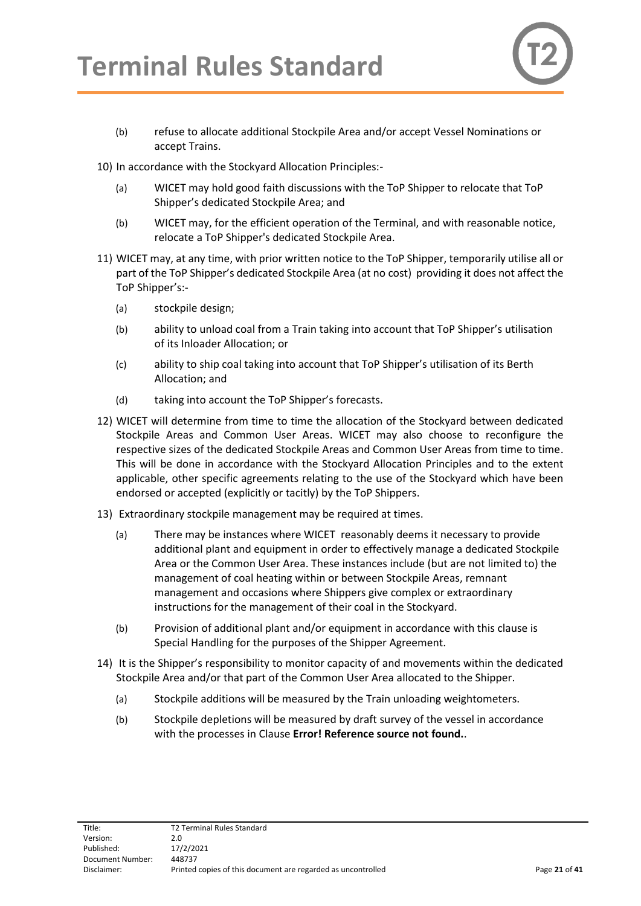

- (b) refuse to allocate additional Stockpile Area and/or accept Vessel Nominations or accept Trains.
- 10) In accordance with the Stockyard Allocation Principles:-
	- (a) WICET may hold good faith discussions with the ToP Shipper to relocate that ToP Shipper's dedicated Stockpile Area; and
	- (b) WICET may, for the efficient operation of the Terminal, and with reasonable notice, relocate a ToP Shipper's dedicated Stockpile Area.
- 11) WICET may, at any time, with prior written notice to the ToP Shipper, temporarily utilise all or part of the ToP Shipper's dedicated Stockpile Area (at no cost) providing it does not affect the ToP Shipper's:-
	- (a) stockpile design;
	- (b) ability to unload coal from a Train taking into account that ToP Shipper's utilisation of its Inloader Allocation; or
	- (c) ability to ship coal taking into account that ToP Shipper's utilisation of its Berth Allocation; and
	- (d) taking into account the ToP Shipper's forecasts.
- 12) WICET will determine from time to time the allocation of the Stockyard between dedicated Stockpile Areas and Common User Areas. WICET may also choose to reconfigure the respective sizes of the dedicated Stockpile Areas and Common User Areas from time to time. This will be done in accordance with the Stockyard Allocation Principles and to the extent applicable, other specific agreements relating to the use of the Stockyard which have been endorsed or accepted (explicitly or tacitly) by the ToP Shippers.
- 13) Extraordinary stockpile management may be required at times.
	- (a) There may be instances where WICET reasonably deems it necessary to provide additional plant and equipment in order to effectively manage a dedicated Stockpile Area or the Common User Area. These instances include (but are not limited to) the management of coal heating within or between Stockpile Areas, remnant management and occasions where Shippers give complex or extraordinary instructions for the management of their coal in the Stockyard.
	- (b) Provision of additional plant and/or equipment in accordance with this clause is Special Handling for the purposes of the Shipper Agreement.
- 14) It is the Shipper's responsibility to monitor capacity of and movements within the dedicated Stockpile Area and/or that part of the Common User Area allocated to the Shipper.
	- (a) Stockpile additions will be measured by the Train unloading weightometers.
	- (b) Stockpile depletions will be measured by draft survey of the vessel in accordance with the processes in Clause **Error! Reference source not found.**.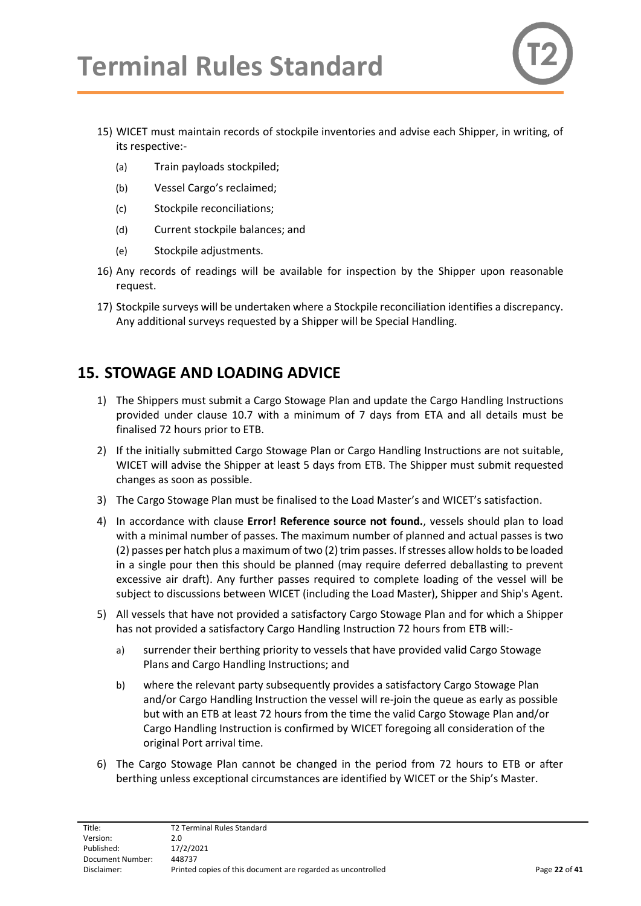- 15) WICET must maintain records of stockpile inventories and advise each Shipper, in writing, of its respective:-
	- (a) Train payloads stockpiled;
	- (b) Vessel Cargo's reclaimed;
	- (c) Stockpile reconciliations;
	- (d) Current stockpile balances; and
	- (e) Stockpile adjustments.
- 16) Any records of readings will be available for inspection by the Shipper upon reasonable request.
- 17) Stockpile surveys will be undertaken where a Stockpile reconciliation identifies a discrepancy. Any additional surveys requested by a Shipper will be Special Handling.

# <span id="page-21-1"></span><span id="page-21-0"></span>**15. STOWAGE AND LOADING ADVICE**

- 1) The Shippers must submit a Cargo Stowage Plan and update the Cargo Handling Instructions provided under clause 10.7 with a minimum of 7 days from ETA and all details must be finalised 72 hours prior to ETB.
- 2) If the initially submitted Cargo Stowage Plan or Cargo Handling Instructions are not suitable, WICET will advise the Shipper at least 5 days from ETB. The Shipper must submit requested changes as soon as possible.
- 3) The Cargo Stowage Plan must be finalised to the Load Master's and WICET's satisfaction.
- 4) In accordance with clause **Error! Reference source not found.**, vessels should plan to load with a minimal number of passes. The maximum number of planned and actual passes is two (2) passes per hatch plus a maximum of two (2) trim passes. If stresses allow holds to be loaded in a single pour then this should be planned (may require deferred deballasting to prevent excessive air draft). Any further passes required to complete loading of the vessel will be subject to discussions between WICET (including the Load Master), Shipper and Ship's Agent.
- 5) All vessels that have not provided a satisfactory Cargo Stowage Plan and for which a Shipper has not provided a satisfactory Cargo Handling Instruction 72 hours from ETB will:
	- a) surrender their berthing priority to vessels that have provided valid Cargo Stowage Plans and Cargo Handling Instructions; and
	- b) where the relevant party subsequently provides a satisfactory Cargo Stowage Plan and/or Cargo Handling Instruction the vessel will re-join the queue as early as possible but with an ETB at least 72 hours from the time the valid Cargo Stowage Plan and/or Cargo Handling Instruction is confirmed by WICET foregoing all consideration of the original Port arrival time.
- 6) The Cargo Stowage Plan cannot be changed in the period from 72 hours to ETB or after berthing unless exceptional circumstances are identified by WICET or the Ship's Master.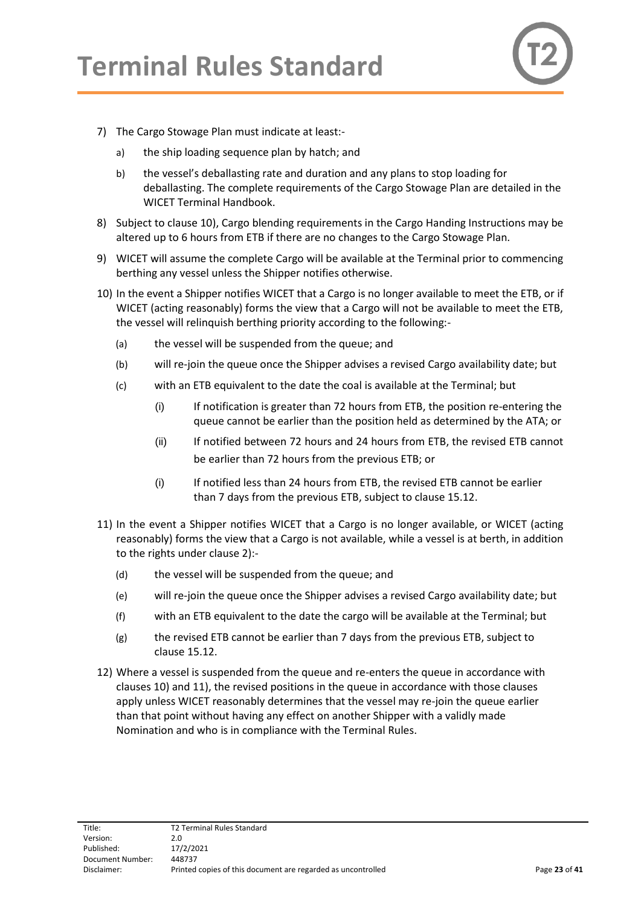

- <span id="page-22-2"></span>7) The Cargo Stowage Plan must indicate at least:
	- a) the ship loading sequence plan by hatch; and
	- b) the vessel's deballasting rate and duration and any plans to stop loading for deballasting. The complete requirements of the Cargo Stowage Plan are detailed in the WICET Terminal Handbook.
- 8) Subject to clause [10\),](#page-22-0) Cargo blending requirements in the Cargo Handing Instructions may be altered up to 6 hours from ETB if there are no changes to the Cargo Stowage Plan.
- 9) WICET will assume the complete Cargo will be available at the Terminal prior to commencing berthing any vessel unless the Shipper notifies otherwise.
- <span id="page-22-0"></span>10) In the event a Shipper notifies WICET that a Cargo is no longer available to meet the ETB, or if WICET (acting reasonably) forms the view that a Cargo will not be available to meet the ETB, the vessel will relinquish berthing priority according to the following:-
	- (a) the vessel will be suspended from the queue; and
	- (b) will re-join the queue once the Shipper advises a revised Cargo availability date; but
	- (c) with an ETB equivalent to the date the coal is available at the Terminal; but
		- (i) If notification is greater than 72 hours from ETB, the position re-entering the queue cannot be earlier than the position held as determined by the ATA; or
		- (ii) If notified between 72 hours and 24 hours from ETB, the revised ETB cannot be earlier than 72 hours from the previous ETB; or
		- (i) If notified less than 24 hours from ETB, the revised ETB cannot be earlier than 7 days from the previous ETB, subject to clause 15.12.
- <span id="page-22-1"></span>11) In the event a Shipper notifies WICET that a Cargo is no longer available, or WICET (acting reasonably) forms the view that a Cargo is not available, while a vessel is at berth, in addition to the rights under clause [2\):](#page-23-2)-
	- (d) the vessel will be suspended from the queue; and
	- (e) will re-join the queue once the Shipper advises a revised Cargo availability date; but
	- (f) with an ETB equivalent to the date the cargo will be available at the Terminal; but
	- (g) the revised ETB cannot be earlier than 7 days from the previous ETB, subject to clause 15.12.
- 12) Where a vessel is suspended from the queue and re-enters the queue in accordance with clauses [10\)](#page-22-0) and [11\),](#page-22-1) the revised positions in the queue in accordance with those clauses apply unless WICET reasonably determines that the vessel may re-join the queue earlier than that point without having any effect on another Shipper with a validly made Nomination and who is in compliance with the Terminal Rules.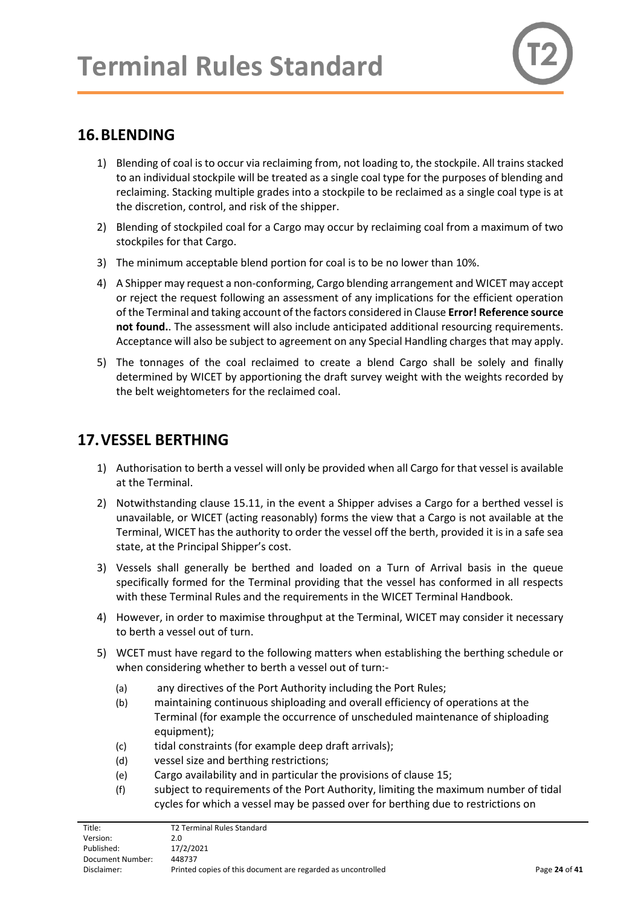# <span id="page-23-0"></span>**16.BLENDING**

- 1) Blending of coal is to occur via reclaiming from, not loading to, the stockpile. All trains stacked to an individual stockpile will be treated as a single coal type for the purposes of blending and reclaiming. Stacking multiple grades into a stockpile to be reclaimed as a single coal type is at the discretion, control, and risk of the shipper.
- 2) Blending of stockpiled coal for a Cargo may occur by reclaiming coal from a maximum of two stockpiles for that Cargo.
- 3) The minimum acceptable blend portion for coal is to be no lower than 10%.
- 4) A Shipper may request a non-conforming, Cargo blending arrangement and WICET may accept or reject the request following an assessment of any implications for the efficient operation of the Terminal and taking account of the factors considered in Clause **Error! Reference source not found.**. The assessment will also include anticipated additional resourcing requirements. Acceptance will also be subject to agreement on any Special Handling charges that may apply.
- 5) The tonnages of the coal reclaimed to create a blend Cargo shall be solely and finally determined by WICET by apportioning the draft survey weight with the weights recorded by the belt weightometers for the reclaimed coal.

## <span id="page-23-1"></span>**17.VESSEL BERTHING**

- 1) Authorisation to berth a vessel will only be provided when all Cargo for that vessel is available at the Terminal.
- <span id="page-23-2"></span>2) Notwithstanding clause 15.11, in the event a Shipper advises a Cargo for a berthed vessel is unavailable, or WICET (acting reasonably) forms the view that a Cargo is not available at the Terminal, WICET has the authority to order the vessel off the berth, provided it is in a safe sea state, at the Principal Shipper's cost.
- 3) Vessels shall generally be berthed and loaded on a Turn of Arrival basis in the queue specifically formed for the Terminal providing that the vessel has conformed in all respects with these Terminal Rules and the requirements in the WICET Terminal Handbook.
- 4) However, in order to maximise throughput at the Terminal, WICET may consider it necessary to berth a vessel out of turn.
- 5) WCET must have regard to the following matters when establishing the berthing schedule or when considering whether to berth a vessel out of turn:-
	- (a) any directives of the Port Authority including the Port Rules;
	- (b) maintaining continuous shiploading and overall efficiency of operations at the Terminal (for example the occurrence of unscheduled maintenance of shiploading equipment);
	- (c) tidal constraints (for example deep draft arrivals);
	- (d) vessel size and berthing restrictions;
	- (e) Cargo availability and in particular the provisions of claus[e 15;](#page-21-1)
	- (f) subject to requirements of the Port Authority, limiting the maximum number of tidal cycles for which a vessel may be passed over for berthing due to restrictions on

| Title:           | T2 Terminal Rules Standard                                   |               |
|------------------|--------------------------------------------------------------|---------------|
| Version:         | 2.0                                                          |               |
| Published:       | 17/2/2021                                                    |               |
| Document Number: | 448737                                                       |               |
| Disclaimer:      | Printed copies of this document are regarded as uncontrolled | Page 24 of 41 |
|                  |                                                              |               |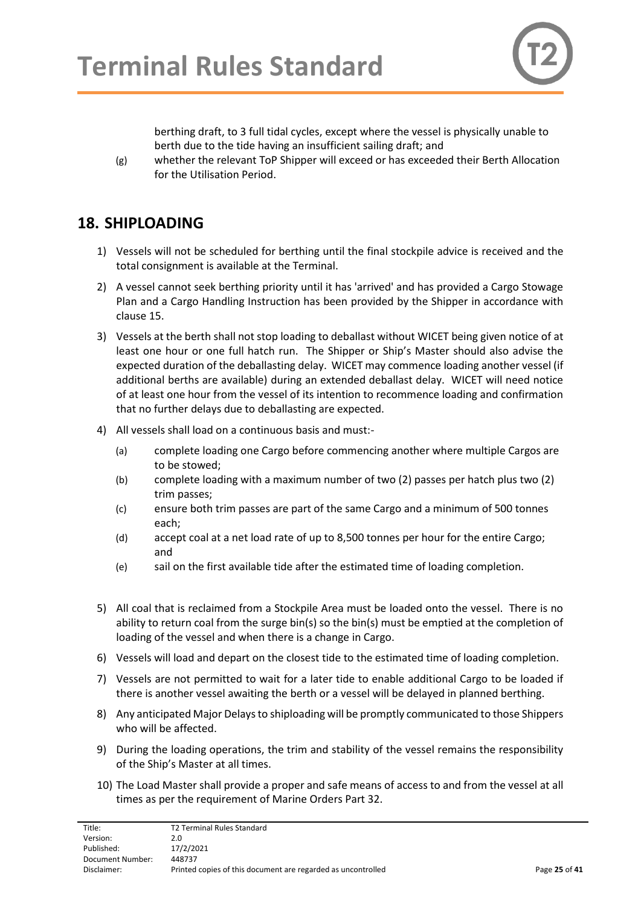

berthing draft, to 3 full tidal cycles, except where the vessel is physically unable to berth due to the tide having an insufficient sailing draft; and

(g) whether the relevant ToP Shipper will exceed or has exceeded their Berth Allocation for the Utilisation Period.

## <span id="page-24-0"></span>**18. SHIPLOADING**

- 1) Vessels will not be scheduled for berthing until the final stockpile advice is received and the total consignment is available at the Terminal.
- 2) A vessel cannot seek berthing priority until it has 'arrived' and has provided a Cargo Stowage Plan and a Cargo Handling Instruction has been provided by the Shipper in accordance with clause 15.
- 3) Vessels at the berth shall not stop loading to deballast without WICET being given notice of at least one hour or one full hatch run. The Shipper or Ship's Master should also advise the expected duration of the deballasting delay. WICET may commence loading another vessel (if additional berths are available) during an extended deballast delay. WICET will need notice of at least one hour from the vessel of its intention to recommence loading and confirmation that no further delays due to deballasting are expected.
- 4) All vessels shall load on a continuous basis and must:-
	- (a) complete loading one Cargo before commencing another where multiple Cargos are to be stowed;
	- (b) complete loading with a maximum number of two (2) passes per hatch plus two (2) trim passes;
	- (c) ensure both trim passes are part of the same Cargo and a minimum of 500 tonnes each;
	- (d) accept coal at a net load rate of up to 8,500 tonnes per hour for the entire Cargo; and
	- (e) sail on the first available tide after the estimated time of loading completion.
- 5) All coal that is reclaimed from a Stockpile Area must be loaded onto the vessel. There is no ability to return coal from the surge bin(s) so the bin(s) must be emptied at the completion of loading of the vessel and when there is a change in Cargo.
- 6) Vessels will load and depart on the closest tide to the estimated time of loading completion.
- 7) Vessels are not permitted to wait for a later tide to enable additional Cargo to be loaded if there is another vessel awaiting the berth or a vessel will be delayed in planned berthing.
- 8) Any anticipated Major Delays to shiploading will be promptly communicated to those Shippers who will be affected.
- 9) During the loading operations, the trim and stability of the vessel remains the responsibility of the Ship's Master at all times.
- 10) The Load Master shall provide a proper and safe means of access to and from the vessel at all times as per the requirement of Marine Orders Part 32.

| Title:           | T2 Terminal Rules Standard                                   |               |
|------------------|--------------------------------------------------------------|---------------|
| Version:         | 2.0                                                          |               |
| Published:       | 17/2/2021                                                    |               |
| Document Number: | 448737                                                       |               |
| Disclaimer:      | Printed copies of this document are regarded as uncontrolled | Page 25 of 41 |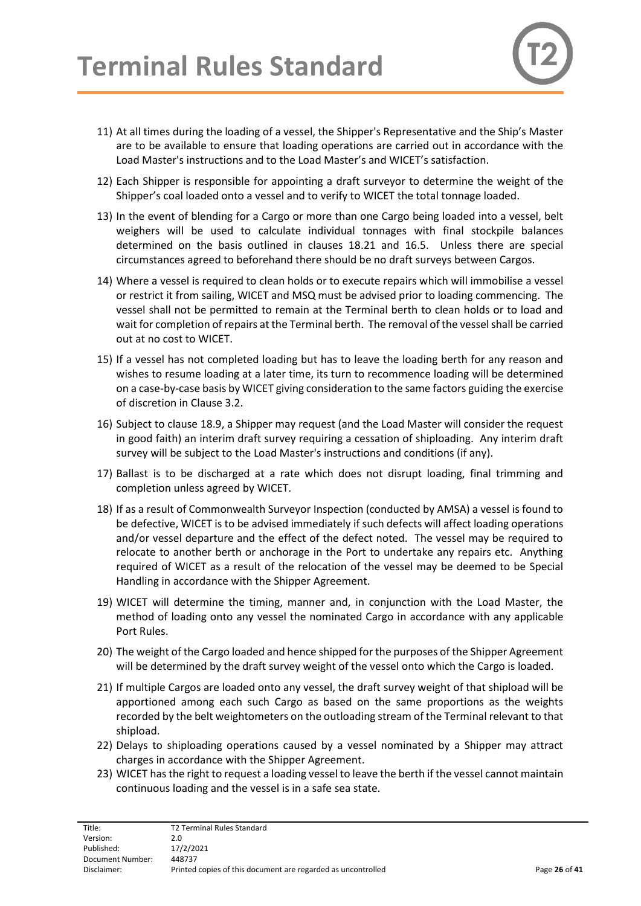- 11) At all times during the loading of a vessel, the Shipper's Representative and the Ship's Master are to be available to ensure that loading operations are carried out in accordance with the Load Master's instructions and to the Load Master's and WICET's satisfaction.
- 12) Each Shipper is responsible for appointing a draft surveyor to determine the weight of the Shipper's coal loaded onto a vessel and to verify to WICET the total tonnage loaded.
- 13) In the event of blending for a Cargo or more than one Cargo being loaded into a vessel, belt weighers will be used to calculate individual tonnages with final stockpile balances determined on the basis outlined in clauses 18.21 and 16.5. Unless there are special circumstances agreed to beforehand there should be no draft surveys between Cargos.
- 14) Where a vessel is required to clean holds or to execute repairs which will immobilise a vessel or restrict it from sailing, WICET and MSQ must be advised prior to loading commencing. The vessel shall not be permitted to remain at the Terminal berth to clean holds or to load and wait for completion of repairs at the Terminal berth. The removal of the vessel shall be carried out at no cost to WICET.
- 15) If a vessel has not completed loading but has to leave the loading berth for any reason and wishes to resume loading at a later time, its turn to recommence loading will be determined on a case-by-case basis by WICET giving consideration to the same factors guiding the exercise of discretion in Clause 3.2.
- 16) Subject to clause 18.9, a Shipper may request (and the Load Master will consider the request in good faith) an interim draft survey requiring a cessation of shiploading. Any interim draft survey will be subject to the Load Master's instructions and conditions (if any).
- 17) Ballast is to be discharged at a rate which does not disrupt loading, final trimming and completion unless agreed by WICET.
- 18) If as a result of Commonwealth Surveyor Inspection (conducted by AMSA) a vessel is found to be defective, WICET is to be advised immediately if such defects will affect loading operations and/or vessel departure and the effect of the defect noted. The vessel may be required to relocate to another berth or anchorage in the Port to undertake any repairs etc. Anything required of WICET as a result of the relocation of the vessel may be deemed to be Special Handling in accordance with the Shipper Agreement.
- 19) WICET will determine the timing, manner and, in conjunction with the Load Master, the method of loading onto any vessel the nominated Cargo in accordance with any applicable Port Rules.
- 20) The weight of the Cargo loaded and hence shipped for the purposes of the Shipper Agreement will be determined by the draft survey weight of the vessel onto which the Cargo is loaded.
- 21) If multiple Cargos are loaded onto any vessel, the draft survey weight of that shipload will be apportioned among each such Cargo as based on the same proportions as the weights recorded by the belt weightometers on the outloading stream of the Terminal relevant to that shipload.
- 22) Delays to shiploading operations caused by a vessel nominated by a Shipper may attract charges in accordance with the Shipper Agreement.
- 23) WICET has the right to request a loading vessel to leave the berth if the vessel cannot maintain continuous loading and the vessel is in a safe sea state.

| T2 Terminal Rules Standard                                   |               |
|--------------------------------------------------------------|---------------|
| 2.0                                                          |               |
| 17/2/2021                                                    |               |
| 448737                                                       |               |
| Printed copies of this document are regarded as uncontrolled | Page 26 of 41 |
|                                                              |               |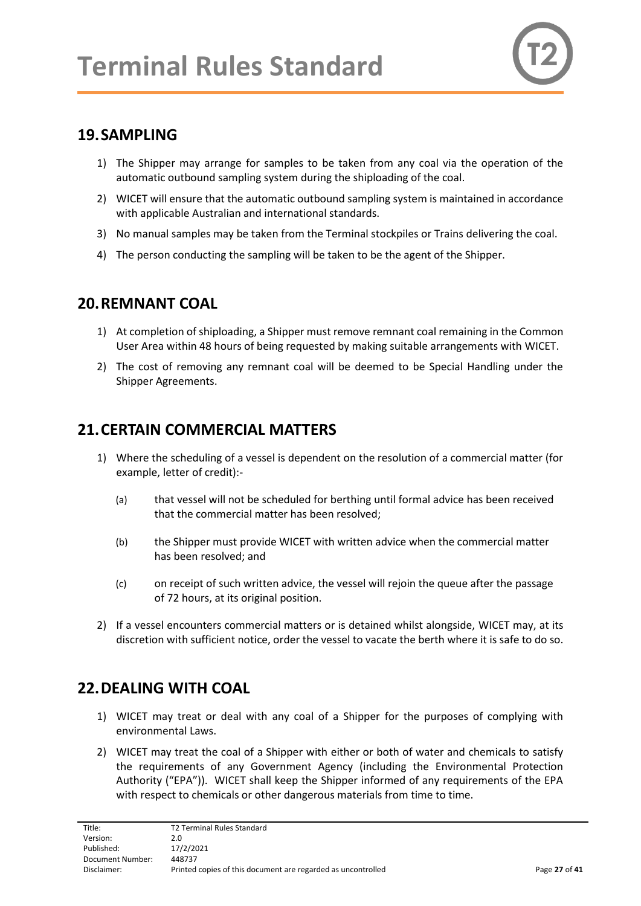## <span id="page-26-0"></span>**19.SAMPLING**

- 1) The Shipper may arrange for samples to be taken from any coal via the operation of the automatic outbound sampling system during the shiploading of the coal.
- 2) WICET will ensure that the automatic outbound sampling system is maintained in accordance with applicable Australian and international standards.
- 3) No manual samples may be taken from the Terminal stockpiles or Trains delivering the coal.
- 4) The person conducting the sampling will be taken to be the agent of the Shipper.

## <span id="page-26-1"></span>**20.REMNANT COAL**

- 1) At completion of shiploading, a Shipper must remove remnant coal remaining in the Common User Area within 48 hours of being requested by making suitable arrangements with WICET.
- 2) The cost of removing any remnant coal will be deemed to be Special Handling under the Shipper Agreements.

## <span id="page-26-2"></span>**21.CERTAIN COMMERCIAL MATTERS**

- 1) Where the scheduling of a vessel is dependent on the resolution of a commercial matter (for example, letter of credit):-
	- (a) that vessel will not be scheduled for berthing until formal advice has been received that the commercial matter has been resolved;
	- (b) the Shipper must provide WICET with written advice when the commercial matter has been resolved; and
	- (c) on receipt of such written advice, the vessel will rejoin the queue after the passage of 72 hours, at its original position.
- 2) If a vessel encounters commercial matters or is detained whilst alongside, WICET may, at its discretion with sufficient notice, order the vessel to vacate the berth where it is safe to do so.

# <span id="page-26-3"></span>**22.DEALING WITH COAL**

- 1) WICET may treat or deal with any coal of a Shipper for the purposes of complying with environmental Laws.
- 2) WICET may treat the coal of a Shipper with either or both of water and chemicals to satisfy the requirements of any Government Agency (including the Environmental Protection Authority ("EPA")). WICET shall keep the Shipper informed of any requirements of the EPA with respect to chemicals or other dangerous materials from time to time.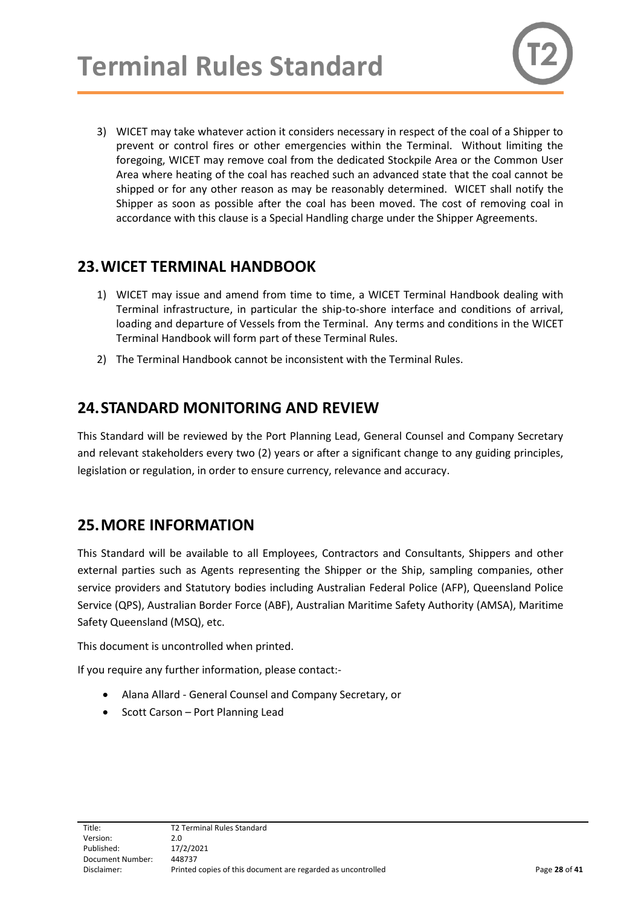3) WICET may take whatever action it considers necessary in respect of the coal of a Shipper to prevent or control fires or other emergencies within the Terminal. Without limiting the foregoing, WICET may remove coal from the dedicated Stockpile Area or the Common User Area where heating of the coal has reached such an advanced state that the coal cannot be shipped or for any other reason as may be reasonably determined. WICET shall notify the Shipper as soon as possible after the coal has been moved. The cost of removing coal in accordance with this clause is a Special Handling charge under the Shipper Agreements.

## <span id="page-27-0"></span>**23.WICET TERMINAL HANDBOOK**

- 1) WICET may issue and amend from time to time, a WICET Terminal Handbook dealing with Terminal infrastructure, in particular the ship-to-shore interface and conditions of arrival, loading and departure of Vessels from the Terminal. Any terms and conditions in the WICET Terminal Handbook will form part of these Terminal Rules.
- 2) The Terminal Handbook cannot be inconsistent with the Terminal Rules.

## <span id="page-27-1"></span>**24.STANDARD MONITORING AND REVIEW**

This Standard will be reviewed by the Port Planning Lead, General Counsel and Company Secretary and relevant stakeholders every two (2) years or after a significant change to any guiding principles, legislation or regulation, in order to ensure currency, relevance and accuracy.

## <span id="page-27-2"></span>**25.MORE INFORMATION**

This Standard will be available to all Employees, Contractors and Consultants, Shippers and other external parties such as Agents representing the Shipper or the Ship, sampling companies, other service providers and Statutory bodies including Australian Federal Police (AFP), Queensland Police Service (QPS), Australian Border Force (ABF), Australian Maritime Safety Authority (AMSA), Maritime Safety Queensland (MSQ), etc.

This document is uncontrolled when printed.

If you require any further information, please contact:-

- Alana Allard General Counsel and Company Secretary, or
- Scott Carson Port Planning Lead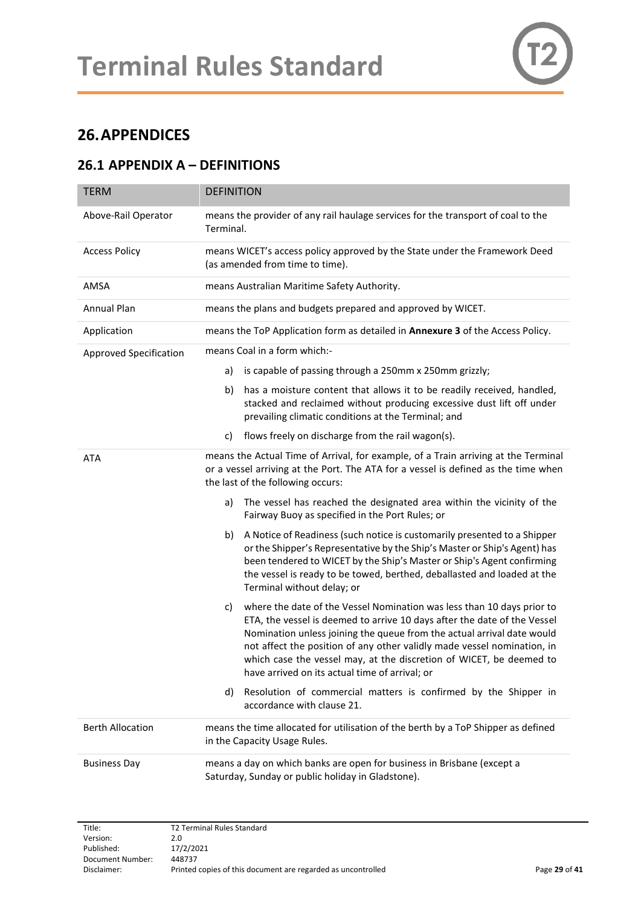# <span id="page-28-0"></span>**26.APPENDICES**

#### <span id="page-28-1"></span>**26.1 APPENDIX A – DEFINITIONS**

| <b>TERM</b>             | <b>DEFINITION</b>                                                                                                                                                                                                                                                                                                                                                                                                                      |
|-------------------------|----------------------------------------------------------------------------------------------------------------------------------------------------------------------------------------------------------------------------------------------------------------------------------------------------------------------------------------------------------------------------------------------------------------------------------------|
| Above-Rail Operator     | means the provider of any rail haulage services for the transport of coal to the<br>Terminal.                                                                                                                                                                                                                                                                                                                                          |
| <b>Access Policy</b>    | means WICET's access policy approved by the State under the Framework Deed<br>(as amended from time to time).                                                                                                                                                                                                                                                                                                                          |
| AMSA                    | means Australian Maritime Safety Authority.                                                                                                                                                                                                                                                                                                                                                                                            |
| <b>Annual Plan</b>      | means the plans and budgets prepared and approved by WICET.                                                                                                                                                                                                                                                                                                                                                                            |
| Application             | means the ToP Application form as detailed in <b>Annexure 3</b> of the Access Policy.                                                                                                                                                                                                                                                                                                                                                  |
| Approved Specification  | means Coal in a form which:-                                                                                                                                                                                                                                                                                                                                                                                                           |
|                         | is capable of passing through a 250mm x 250mm grizzly;<br>a)                                                                                                                                                                                                                                                                                                                                                                           |
|                         | has a moisture content that allows it to be readily received, handled,<br>b)<br>stacked and reclaimed without producing excessive dust lift off under<br>prevailing climatic conditions at the Terminal; and                                                                                                                                                                                                                           |
|                         | flows freely on discharge from the rail wagon(s).<br>C)                                                                                                                                                                                                                                                                                                                                                                                |
| <b>ATA</b>              | means the Actual Time of Arrival, for example, of a Train arriving at the Terminal<br>or a vessel arriving at the Port. The ATA for a vessel is defined as the time when<br>the last of the following occurs:                                                                                                                                                                                                                          |
|                         | The vessel has reached the designated area within the vicinity of the<br>a)<br>Fairway Buoy as specified in the Port Rules; or                                                                                                                                                                                                                                                                                                         |
|                         | A Notice of Readiness (such notice is customarily presented to a Shipper<br>b)<br>or the Shipper's Representative by the Ship's Master or Ship's Agent) has<br>been tendered to WICET by the Ship's Master or Ship's Agent confirming<br>the vessel is ready to be towed, berthed, deballasted and loaded at the<br>Terminal without delay; or                                                                                         |
|                         | where the date of the Vessel Nomination was less than 10 days prior to<br>c)<br>ETA, the vessel is deemed to arrive 10 days after the date of the Vessel<br>Nomination unless joining the queue from the actual arrival date would<br>not affect the position of any other validly made vessel nomination, in<br>which case the vessel may, at the discretion of WICET, be deemed to<br>have arrived on its actual time of arrival; or |
|                         | Resolution of commercial matters is confirmed by the Shipper in<br>d)<br>accordance with clause 21.                                                                                                                                                                                                                                                                                                                                    |
| <b>Berth Allocation</b> | means the time allocated for utilisation of the berth by a ToP Shipper as defined<br>in the Capacity Usage Rules.                                                                                                                                                                                                                                                                                                                      |
| <b>Business Day</b>     | means a day on which banks are open for business in Brisbane (except a<br>Saturday, Sunday or public holiday in Gladstone).                                                                                                                                                                                                                                                                                                            |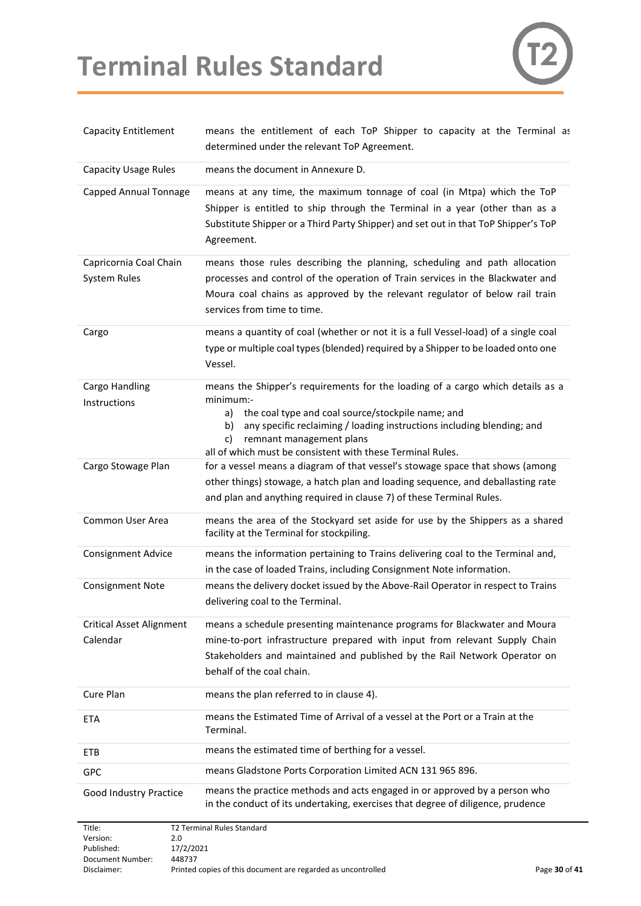# **Terminal Rules Standard**



| <b>Capacity Entitlement</b>                   | means the entitlement of each ToP Shipper to capacity at the Terminal as<br>determined under the relevant ToP Agreement.                                                                                                                                                                                                               |
|-----------------------------------------------|----------------------------------------------------------------------------------------------------------------------------------------------------------------------------------------------------------------------------------------------------------------------------------------------------------------------------------------|
| <b>Capacity Usage Rules</b>                   | means the document in Annexure D.                                                                                                                                                                                                                                                                                                      |
| Capped Annual Tonnage                         | means at any time, the maximum tonnage of coal (in Mtpa) which the ToP<br>Shipper is entitled to ship through the Terminal in a year (other than as a<br>Substitute Shipper or a Third Party Shipper) and set out in that ToP Shipper's ToP<br>Agreement.                                                                              |
| Capricornia Coal Chain<br><b>System Rules</b> | means those rules describing the planning, scheduling and path allocation<br>processes and control of the operation of Train services in the Blackwater and<br>Moura coal chains as approved by the relevant regulator of below rail train<br>services from time to time.                                                              |
| Cargo                                         | means a quantity of coal (whether or not it is a full Vessel-load) of a single coal<br>type or multiple coal types (blended) required by a Shipper to be loaded onto one<br>Vessel.                                                                                                                                                    |
| Cargo Handling<br>Instructions                | means the Shipper's requirements for the loading of a cargo which details as a<br>minimum:-<br>the coal type and coal source/stockpile name; and<br>a)<br>any specific reclaiming / loading instructions including blending; and<br>b)<br>remnant management plans<br>C)<br>all of which must be consistent with these Terminal Rules. |
| Cargo Stowage Plan                            | for a vessel means a diagram of that vessel's stowage space that shows (among<br>other things) stowage, a hatch plan and loading sequence, and deballasting rate<br>and plan and anything required in clause 7) of these Terminal Rules.                                                                                               |
| Common User Area                              | means the area of the Stockyard set aside for use by the Shippers as a shared<br>facility at the Terminal for stockpiling.                                                                                                                                                                                                             |
| <b>Consignment Advice</b>                     | means the information pertaining to Trains delivering coal to the Terminal and,<br>in the case of loaded Trains, including Consignment Note information.                                                                                                                                                                               |
| <b>Consignment Note</b>                       | means the delivery docket issued by the Above-Rail Operator in respect to Trains<br>delivering coal to the Terminal.                                                                                                                                                                                                                   |
| <b>Critical Asset Alignment</b><br>Calendar   | means a schedule presenting maintenance programs for Blackwater and Moura<br>mine-to-port infrastructure prepared with input from relevant Supply Chain<br>Stakeholders and maintained and published by the Rail Network Operator on<br>behalf of the coal chain.                                                                      |
| Cure Plan                                     | means the plan referred to in clause 4).                                                                                                                                                                                                                                                                                               |
| <b>ETA</b>                                    | means the Estimated Time of Arrival of a vessel at the Port or a Train at the<br>Terminal.                                                                                                                                                                                                                                             |
| ETB                                           | means the estimated time of berthing for a vessel.                                                                                                                                                                                                                                                                                     |
| <b>GPC</b>                                    | means Gladstone Ports Corporation Limited ACN 131 965 896.                                                                                                                                                                                                                                                                             |
| Good Industry Practice                        | means the practice methods and acts engaged in or approved by a person who<br>in the conduct of its undertaking, exercises that degree of diligence, prudence                                                                                                                                                                          |
| Title:                                        | T2 Terminal Rules Standard                                                                                                                                                                                                                                                                                                             |

| TILIC.           | i 2 Terminar Kules Stanuaru                                  |               |
|------------------|--------------------------------------------------------------|---------------|
| Version:         | 2.0                                                          |               |
| Published:       | 17/2/2021                                                    |               |
| Document Number: | 448737                                                       |               |
| Disclaimer:      | Printed copies of this document are regarded as uncontrolled | Page 30 of 41 |
|                  |                                                              |               |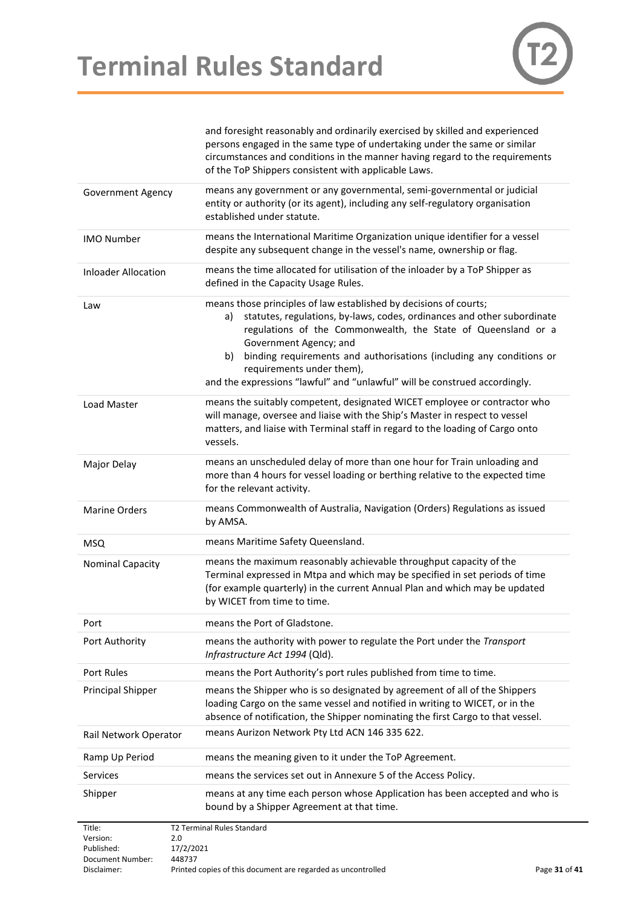

|                                  | and foresight reasonably and ordinarily exercised by skilled and experienced<br>persons engaged in the same type of undertaking under the same or similar<br>circumstances and conditions in the manner having regard to the requirements<br>of the ToP Shippers consistent with applicable Laws.                                                                                                                                      |
|----------------------------------|----------------------------------------------------------------------------------------------------------------------------------------------------------------------------------------------------------------------------------------------------------------------------------------------------------------------------------------------------------------------------------------------------------------------------------------|
| Government Agency                | means any government or any governmental, semi-governmental or judicial<br>entity or authority (or its agent), including any self-regulatory organisation<br>established under statute.                                                                                                                                                                                                                                                |
| <b>IMO Number</b>                | means the International Maritime Organization unique identifier for a vessel<br>despite any subsequent change in the vessel's name, ownership or flag.                                                                                                                                                                                                                                                                                 |
| <b>Inloader Allocation</b>       | means the time allocated for utilisation of the inloader by a ToP Shipper as<br>defined in the Capacity Usage Rules.                                                                                                                                                                                                                                                                                                                   |
| Law                              | means those principles of law established by decisions of courts;<br>statutes, regulations, by-laws, codes, ordinances and other subordinate<br>a)<br>regulations of the Commonwealth, the State of Queensland or a<br>Government Agency; and<br>binding requirements and authorisations (including any conditions or<br>b)<br>requirements under them),<br>and the expressions "lawful" and "unlawful" will be construed accordingly. |
| Load Master                      | means the suitably competent, designated WICET employee or contractor who<br>will manage, oversee and liaise with the Ship's Master in respect to vessel<br>matters, and liaise with Terminal staff in regard to the loading of Cargo onto<br>vessels.                                                                                                                                                                                 |
| Major Delay                      | means an unscheduled delay of more than one hour for Train unloading and<br>more than 4 hours for vessel loading or berthing relative to the expected time<br>for the relevant activity.                                                                                                                                                                                                                                               |
| <b>Marine Orders</b>             | means Commonwealth of Australia, Navigation (Orders) Regulations as issued<br>by AMSA.                                                                                                                                                                                                                                                                                                                                                 |
| <b>MSQ</b>                       | means Maritime Safety Queensland.                                                                                                                                                                                                                                                                                                                                                                                                      |
| <b>Nominal Capacity</b>          | means the maximum reasonably achievable throughput capacity of the<br>Terminal expressed in Mtpa and which may be specified in set periods of time<br>(for example quarterly) in the current Annual Plan and which may be updated<br>by WICET from time to time.                                                                                                                                                                       |
| Port                             | means the Port of Gladstone.                                                                                                                                                                                                                                                                                                                                                                                                           |
| Port Authority                   | means the authority with power to regulate the Port under the Transport<br>Infrastructure Act 1994 (Qld).                                                                                                                                                                                                                                                                                                                              |
| Port Rules                       | means the Port Authority's port rules published from time to time.                                                                                                                                                                                                                                                                                                                                                                     |
| <b>Principal Shipper</b>         | means the Shipper who is so designated by agreement of all of the Shippers<br>loading Cargo on the same vessel and notified in writing to WICET, or in the<br>absence of notification, the Shipper nominating the first Cargo to that vessel.                                                                                                                                                                                          |
| Rail Network Operator            | means Aurizon Network Pty Ltd ACN 146 335 622.                                                                                                                                                                                                                                                                                                                                                                                         |
| Ramp Up Period                   | means the meaning given to it under the ToP Agreement.                                                                                                                                                                                                                                                                                                                                                                                 |
| Services                         | means the services set out in Annexure 5 of the Access Policy.                                                                                                                                                                                                                                                                                                                                                                         |
| Shipper                          | means at any time each person whose Application has been accepted and who is<br>bound by a Shipper Agreement at that time.                                                                                                                                                                                                                                                                                                             |
| Title:<br>Version:<br>Published: | <b>T2 Terminal Rules Standard</b><br>2.0<br>17/2/2021                                                                                                                                                                                                                                                                                                                                                                                  |

Document Number: 448737<br>Disclaimer: Printed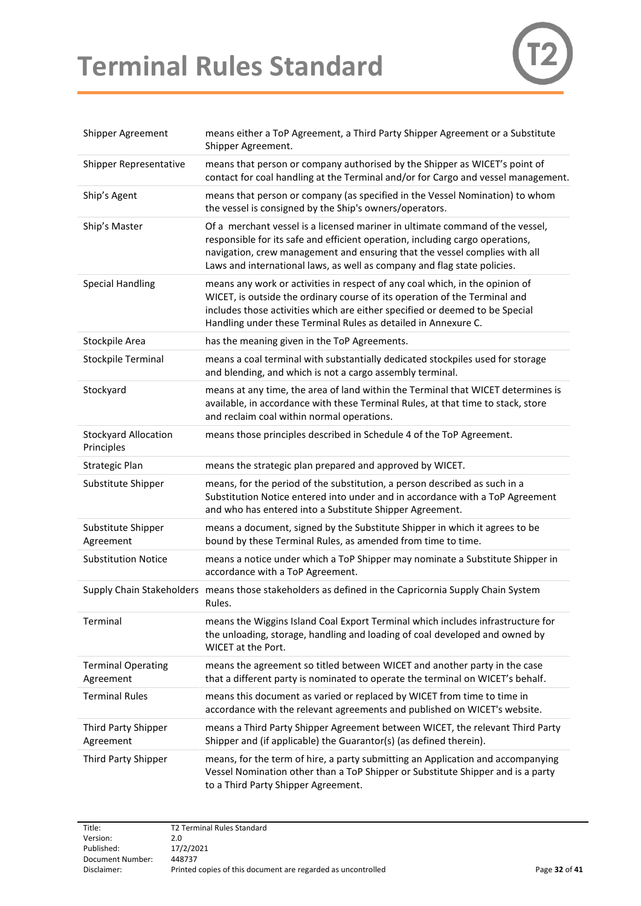# **Terminal Rules Standard**



| Shipper Agreement                         | means either a ToP Agreement, a Third Party Shipper Agreement or a Substitute<br>Shipper Agreement.                                                                                                                                                                                                                      |
|-------------------------------------------|--------------------------------------------------------------------------------------------------------------------------------------------------------------------------------------------------------------------------------------------------------------------------------------------------------------------------|
| Shipper Representative                    | means that person or company authorised by the Shipper as WICET's point of<br>contact for coal handling at the Terminal and/or for Cargo and vessel management.                                                                                                                                                          |
| Ship's Agent                              | means that person or company (as specified in the Vessel Nomination) to whom<br>the vessel is consigned by the Ship's owners/operators.                                                                                                                                                                                  |
| Ship's Master                             | Of a merchant vessel is a licensed mariner in ultimate command of the vessel,<br>responsible for its safe and efficient operation, including cargo operations,<br>navigation, crew management and ensuring that the vessel complies with all<br>Laws and international laws, as well as company and flag state policies. |
| <b>Special Handling</b>                   | means any work or activities in respect of any coal which, in the opinion of<br>WICET, is outside the ordinary course of its operation of the Terminal and<br>includes those activities which are either specified or deemed to be Special<br>Handling under these Terminal Rules as detailed in Annexure C.             |
| Stockpile Area                            | has the meaning given in the ToP Agreements.                                                                                                                                                                                                                                                                             |
| <b>Stockpile Terminal</b>                 | means a coal terminal with substantially dedicated stockpiles used for storage<br>and blending, and which is not a cargo assembly terminal.                                                                                                                                                                              |
| Stockyard                                 | means at any time, the area of land within the Terminal that WICET determines is<br>available, in accordance with these Terminal Rules, at that time to stack, store<br>and reclaim coal within normal operations.                                                                                                       |
| <b>Stockyard Allocation</b><br>Principles | means those principles described in Schedule 4 of the ToP Agreement.                                                                                                                                                                                                                                                     |
| <b>Strategic Plan</b>                     | means the strategic plan prepared and approved by WICET.                                                                                                                                                                                                                                                                 |
| Substitute Shipper                        | means, for the period of the substitution, a person described as such in a<br>Substitution Notice entered into under and in accordance with a ToP Agreement<br>and who has entered into a Substitute Shipper Agreement.                                                                                                  |
| Substitute Shipper<br>Agreement           | means a document, signed by the Substitute Shipper in which it agrees to be<br>bound by these Terminal Rules, as amended from time to time.                                                                                                                                                                              |
| <b>Substitution Notice</b>                | means a notice under which a ToP Shipper may nominate a Substitute Shipper in<br>accordance with a ToP Agreement.                                                                                                                                                                                                        |
|                                           | Supply Chain Stakeholders means those stakeholders as defined in the Capricornia Supply Chain System<br>Rules.                                                                                                                                                                                                           |
| Terminal                                  | means the Wiggins Island Coal Export Terminal which includes infrastructure for<br>the unloading, storage, handling and loading of coal developed and owned by<br><b>WICET at the Port.</b>                                                                                                                              |
| <b>Terminal Operating</b><br>Agreement    | means the agreement so titled between WICET and another party in the case<br>that a different party is nominated to operate the terminal on WICET's behalf.                                                                                                                                                              |
| <b>Terminal Rules</b>                     | means this document as varied or replaced by WICET from time to time in<br>accordance with the relevant agreements and published on WICET's website.                                                                                                                                                                     |
| Third Party Shipper<br>Agreement          | means a Third Party Shipper Agreement between WICET, the relevant Third Party<br>Shipper and (if applicable) the Guarantor(s) (as defined therein).                                                                                                                                                                      |
| Third Party Shipper                       | means, for the term of hire, a party submitting an Application and accompanying<br>Vessel Nomination other than a ToP Shipper or Substitute Shipper and is a party<br>to a Third Party Shipper Agreement.                                                                                                                |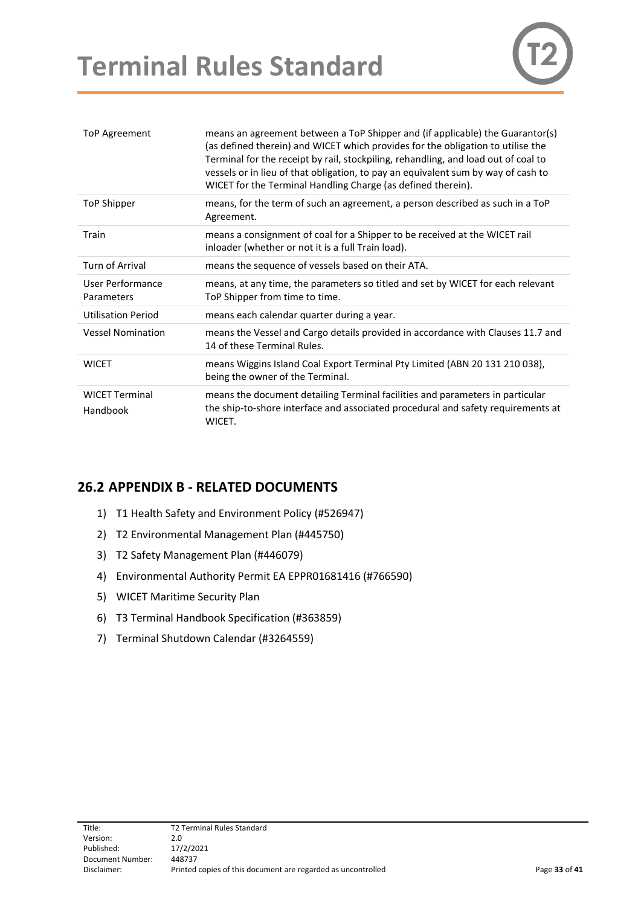# **Terminal Rules Standard**



| ToP Agreement                     | means an agreement between a ToP Shipper and (if applicable) the Guarantor(s)<br>(as defined therein) and WICET which provides for the obligation to utilise the<br>Terminal for the receipt by rail, stockpiling, rehandling, and load out of coal to<br>vessels or in lieu of that obligation, to pay an equivalent sum by way of cash to<br>WICET for the Terminal Handling Charge (as defined therein). |
|-----------------------------------|-------------------------------------------------------------------------------------------------------------------------------------------------------------------------------------------------------------------------------------------------------------------------------------------------------------------------------------------------------------------------------------------------------------|
| ToP Shipper                       | means, for the term of such an agreement, a person described as such in a ToP<br>Agreement.                                                                                                                                                                                                                                                                                                                 |
| Train                             | means a consignment of coal for a Shipper to be received at the WICET rail<br>inloader (whether or not it is a full Train load).                                                                                                                                                                                                                                                                            |
| Turn of Arrival                   | means the sequence of vessels based on their ATA.                                                                                                                                                                                                                                                                                                                                                           |
| User Performance<br>Parameters    | means, at any time, the parameters so titled and set by WICET for each relevant<br>ToP Shipper from time to time.                                                                                                                                                                                                                                                                                           |
| <b>Utilisation Period</b>         | means each calendar quarter during a year.                                                                                                                                                                                                                                                                                                                                                                  |
| <b>Vessel Nomination</b>          | means the Vessel and Cargo details provided in accordance with Clauses 11.7 and<br>14 of these Terminal Rules.                                                                                                                                                                                                                                                                                              |
| <b>WICET</b>                      | means Wiggins Island Coal Export Terminal Pty Limited (ABN 20 131 210 038),<br>being the owner of the Terminal.                                                                                                                                                                                                                                                                                             |
| <b>WICET Terminal</b><br>Handbook | means the document detailing Terminal facilities and parameters in particular<br>the ship-to-shore interface and associated procedural and safety requirements at<br>WICET.                                                                                                                                                                                                                                 |

#### <span id="page-32-0"></span>**26.2 APPENDIX B - RELATED DOCUMENTS**

- 1) T1 Health Safety and Environment Policy (#526947)
- 2) T2 Environmental Management Plan (#445750)
- 3) T2 Safety Management Plan (#446079)
- 4) Environmental Authority Permit EA EPPR01681416 (#766590)
- 5) WICET Maritime Security Plan
- 6) T3 Terminal Handbook Specification (#363859)
- 7) Terminal Shutdown Calendar (#3264559)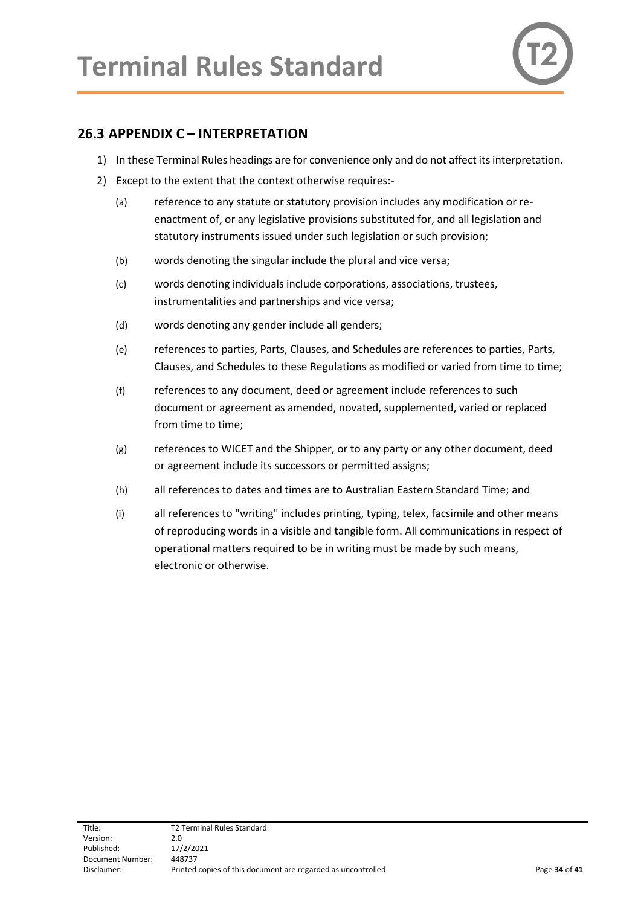

### <span id="page-33-0"></span>**26.3 APPENDIX C – INTERPRETATION**

- 1) In these Terminal Rules headings are for convenience only and do not affect its interpretation.
- 2) Except to the extent that the context otherwise requires:-
	- (a) reference to any statute or statutory provision includes any modification or reenactment of, or any legislative provisions substituted for, and all legislation and statutory instruments issued under such legislation or such provision;
	- (b) words denoting the singular include the plural and vice versa;
	- (c) words denoting individuals include corporations, associations, trustees, instrumentalities and partnerships and vice versa;
	- (d) words denoting any gender include all genders;
	- (e) references to parties, Parts, Clauses, and Schedules are references to parties, Parts, Clauses, and Schedules to these Regulations as modified or varied from time to time;
	- (f) references to any document, deed or agreement include references to such document or agreement as amended, novated, supplemented, varied or replaced from time to time;
	- (g) references to WICET and the Shipper, or to any party or any other document, deed or agreement include its successors or permitted assigns;
	- (h) all references to dates and times are to Australian Eastern Standard Time; and
	- (i) all references to "writing" includes printing, typing, telex, facsimile and other means of reproducing words in a visible and tangible form. All communications in respect of operational matters required to be in writing must be made by such means, electronic or otherwise.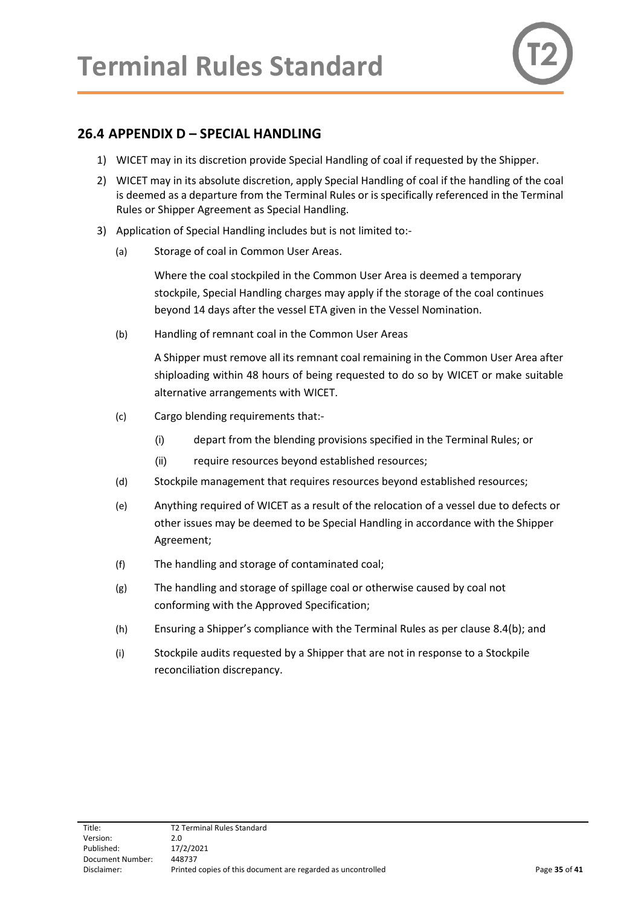

### <span id="page-34-0"></span>**26.4 APPENDIX D – SPECIAL HANDLING**

- 1) WICET may in its discretion provide Special Handling of coal if requested by the Shipper.
- 2) WICET may in its absolute discretion, apply Special Handling of coal if the handling of the coal is deemed as a departure from the Terminal Rules or is specifically referenced in the Terminal Rules or Shipper Agreement as Special Handling.
- 3) Application of Special Handling includes but is not limited to:-
	- (a) Storage of coal in Common User Areas.

Where the coal stockpiled in the Common User Area is deemed a temporary stockpile, Special Handling charges may apply if the storage of the coal continues beyond 14 days after the vessel ETA given in the Vessel Nomination.

(b) Handling of remnant coal in the Common User Areas

A Shipper must remove all its remnant coal remaining in the Common User Area after shiploading within 48 hours of being requested to do so by WICET or make suitable alternative arrangements with WICET.

- (c) Cargo blending requirements that:-
	- (i) depart from the blending provisions specified in the Terminal Rules; or
	- (ii) require resources beyond established resources;
- (d) Stockpile management that requires resources beyond established resources;
- (e) Anything required of WICET as a result of the relocation of a vessel due to defects or other issues may be deemed to be Special Handling in accordance with the Shipper Agreement;
- (f) The handling and storage of contaminated coal;
- (g) The handling and storage of spillage coal or otherwise caused by coal not conforming with the Approved Specification;
- (h) Ensuring a Shipper's compliance with the Terminal Rules as per clause 8.4(b); and
- (i) Stockpile audits requested by a Shipper that are not in response to a Stockpile reconciliation discrepancy.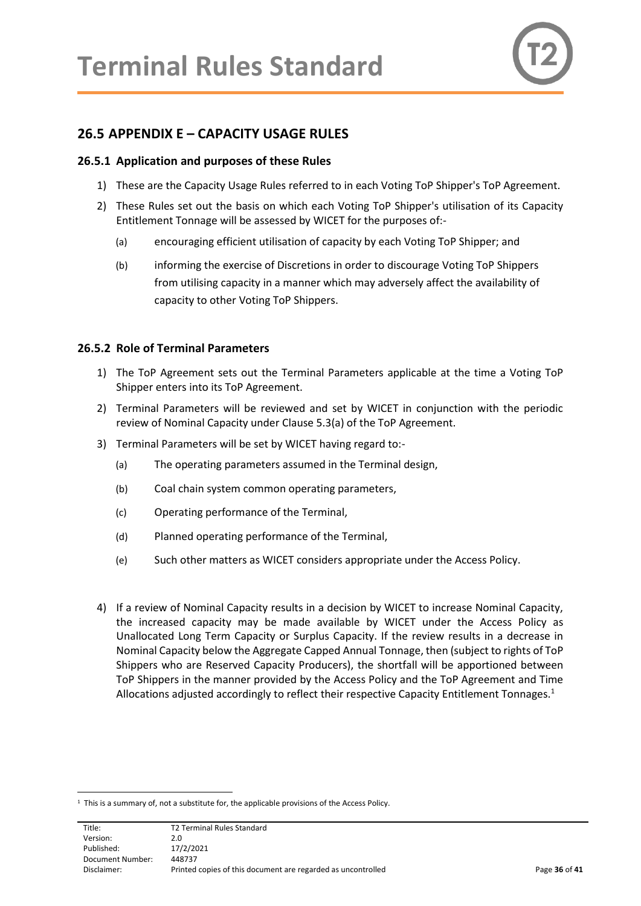

#### <span id="page-35-0"></span>**26.5 APPENDIX E – CAPACITY USAGE RULES**

#### <span id="page-35-1"></span>**26.5.1 Application and purposes of these Rules**

- 1) These are the Capacity Usage Rules referred to in each Voting ToP Shipper's ToP Agreement.
- 2) These Rules set out the basis on which each Voting ToP Shipper's utilisation of its Capacity Entitlement Tonnage will be assessed by WICET for the purposes of:-
	- (a) encouraging efficient utilisation of capacity by each Voting ToP Shipper; and
	- (b) informing the exercise of Discretions in order to discourage Voting ToP Shippers from utilising capacity in a manner which may adversely affect the availability of capacity to other Voting ToP Shippers.

#### <span id="page-35-2"></span>**26.5.2 Role of Terminal Parameters**

- 1) The ToP Agreement sets out the Terminal Parameters applicable at the time a Voting ToP Shipper enters into its ToP Agreement.
- 2) Terminal Parameters will be reviewed and set by WICET in conjunction with the periodic review of Nominal Capacity under Clause 5.3(a) of the ToP Agreement.
- 3) Terminal Parameters will be set by WICET having regard to:-
	- (a) The operating parameters assumed in the Terminal design,
	- (b) Coal chain system common operating parameters,
	- (c) Operating performance of the Terminal,
	- (d) Planned operating performance of the Terminal,
	- (e) Such other matters as WICET considers appropriate under the Access Policy.
- 4) If a review of Nominal Capacity results in a decision by WICET to increase Nominal Capacity, the increased capacity may be made available by WICET under the Access Policy as Unallocated Long Term Capacity or Surplus Capacity. If the review results in a decrease in Nominal Capacity below the Aggregate Capped Annual Tonnage, then (subject to rights of ToP Shippers who are Reserved Capacity Producers), the shortfall will be apportioned between ToP Shippers in the manner provided by the Access Policy and the ToP Agreement and Time Allocations adjusted accordingly to reflect their respective Capacity Entitlement Tonnages.<sup>1</sup>

Title: T2 Terminal Rules Standard Version: 2.0 Published: 17/2/2021 Document Number: 448737 Disclaimer: Printed copies of this document are regarded as uncontrolled Page **36** of **41**

<sup>&</sup>lt;sup>1</sup> This is a summary of, not a substitute for, the applicable provisions of the Access Policy.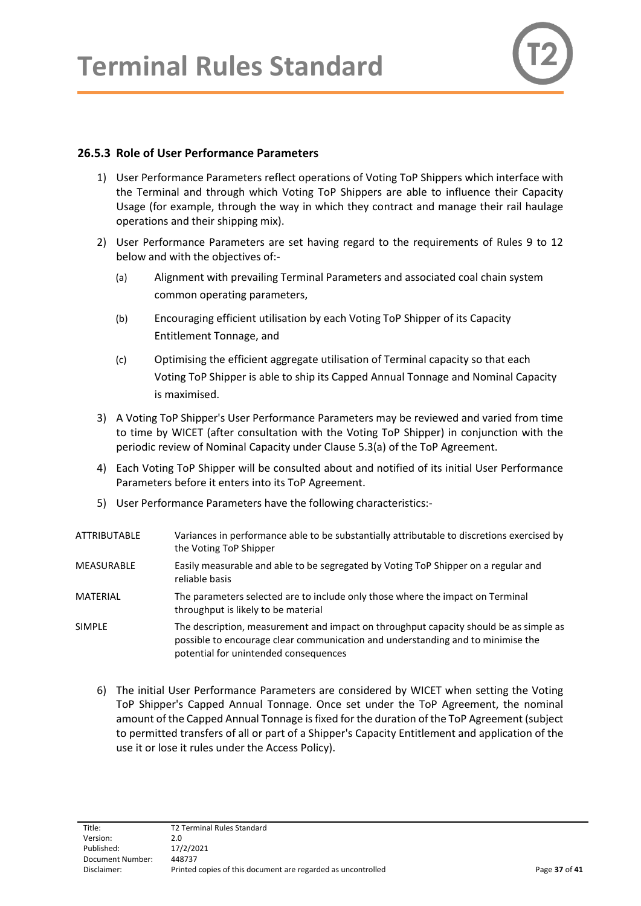

#### <span id="page-36-0"></span>**26.5.3 Role of User Performance Parameters**

- 1) User Performance Parameters reflect operations of Voting ToP Shippers which interface with the Terminal and through which Voting ToP Shippers are able to influence their Capacity Usage (for example, through the way in which they contract and manage their rail haulage operations and their shipping mix).
- 2) User Performance Parameters are set having regard to the requirements of Rules 9 to 12 below and with the objectives of:-
	- (a) Alignment with prevailing Terminal Parameters and associated coal chain system common operating parameters,
	- (b) Encouraging efficient utilisation by each Voting ToP Shipper of its Capacity Entitlement Tonnage, and
	- (c) Optimising the efficient aggregate utilisation of Terminal capacity so that each Voting ToP Shipper is able to ship its Capped Annual Tonnage and Nominal Capacity is maximised.
- 3) A Voting ToP Shipper's User Performance Parameters may be reviewed and varied from time to time by WICET (after consultation with the Voting ToP Shipper) in conjunction with the periodic review of Nominal Capacity under Clause 5.3(a) of the ToP Agreement.
- 4) Each Voting ToP Shipper will be consulted about and notified of its initial User Performance Parameters before it enters into its ToP Agreement.
- 5) User Performance Parameters have the following characteristics:-

| ATTRIBUTABLE | Variances in performance able to be substantially attributable to discretions exercised by<br>the Voting ToP Shipper                                                                                              |
|--------------|-------------------------------------------------------------------------------------------------------------------------------------------------------------------------------------------------------------------|
| MEASURABLE   | Easily measurable and able to be segregated by Voting ToP Shipper on a regular and<br>reliable basis                                                                                                              |
| MATERIAL     | The parameters selected are to include only those where the impact on Terminal<br>throughput is likely to be material                                                                                             |
| SIMPLE       | The description, measurement and impact on throughput capacity should be as simple as<br>possible to encourage clear communication and understanding and to minimise the<br>potential for unintended consequences |

6) The initial User Performance Parameters are considered by WICET when setting the Voting ToP Shipper's Capped Annual Tonnage. Once set under the ToP Agreement, the nominal amount of the Capped Annual Tonnage is fixed for the duration of the ToP Agreement (subject to permitted transfers of all or part of a Shipper's Capacity Entitlement and application of the use it or lose it rules under the Access Policy).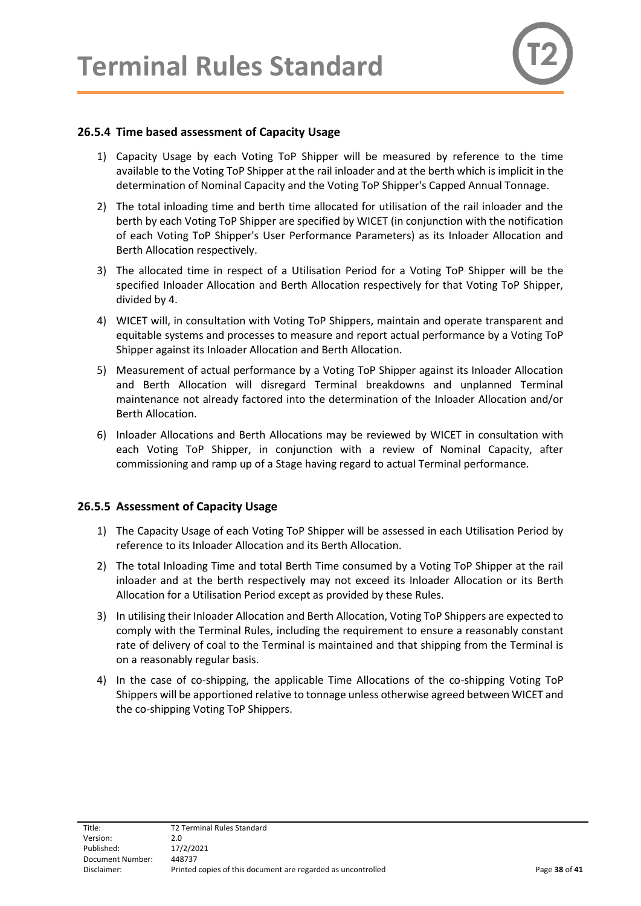

#### <span id="page-37-0"></span>**26.5.4 Time based assessment of Capacity Usage**

- 1) Capacity Usage by each Voting ToP Shipper will be measured by reference to the time available to the Voting ToP Shipper at the rail inloader and at the berth which is implicit in the determination of Nominal Capacity and the Voting ToP Shipper's Capped Annual Tonnage.
- 2) The total inloading time and berth time allocated for utilisation of the rail inloader and the berth by each Voting ToP Shipper are specified by WICET (in conjunction with the notification of each Voting ToP Shipper's User Performance Parameters) as its Inloader Allocation and Berth Allocation respectively.
- 3) The allocated time in respect of a Utilisation Period for a Voting ToP Shipper will be the specified Inloader Allocation and Berth Allocation respectively for that Voting ToP Shipper, divided by 4.
- 4) WICET will, in consultation with Voting ToP Shippers, maintain and operate transparent and equitable systems and processes to measure and report actual performance by a Voting ToP Shipper against its Inloader Allocation and Berth Allocation.
- 5) Measurement of actual performance by a Voting ToP Shipper against its Inloader Allocation and Berth Allocation will disregard Terminal breakdowns and unplanned Terminal maintenance not already factored into the determination of the Inloader Allocation and/or Berth Allocation.
- 6) Inloader Allocations and Berth Allocations may be reviewed by WICET in consultation with each Voting ToP Shipper, in conjunction with a review of Nominal Capacity, after commissioning and ramp up of a Stage having regard to actual Terminal performance.

#### <span id="page-37-1"></span>**26.5.5 Assessment of Capacity Usage**

- 1) The Capacity Usage of each Voting ToP Shipper will be assessed in each Utilisation Period by reference to its Inloader Allocation and its Berth Allocation.
- 2) The total Inloading Time and total Berth Time consumed by a Voting ToP Shipper at the rail inloader and at the berth respectively may not exceed its Inloader Allocation or its Berth Allocation for a Utilisation Period except as provided by these Rules.
- 3) In utilising their Inloader Allocation and Berth Allocation, Voting ToP Shippers are expected to comply with the Terminal Rules, including the requirement to ensure a reasonably constant rate of delivery of coal to the Terminal is maintained and that shipping from the Terminal is on a reasonably regular basis.
- 4) In the case of co-shipping, the applicable Time Allocations of the co-shipping Voting ToP Shippers will be apportioned relative to tonnage unless otherwise agreed between WICET and the co-shipping Voting ToP Shippers.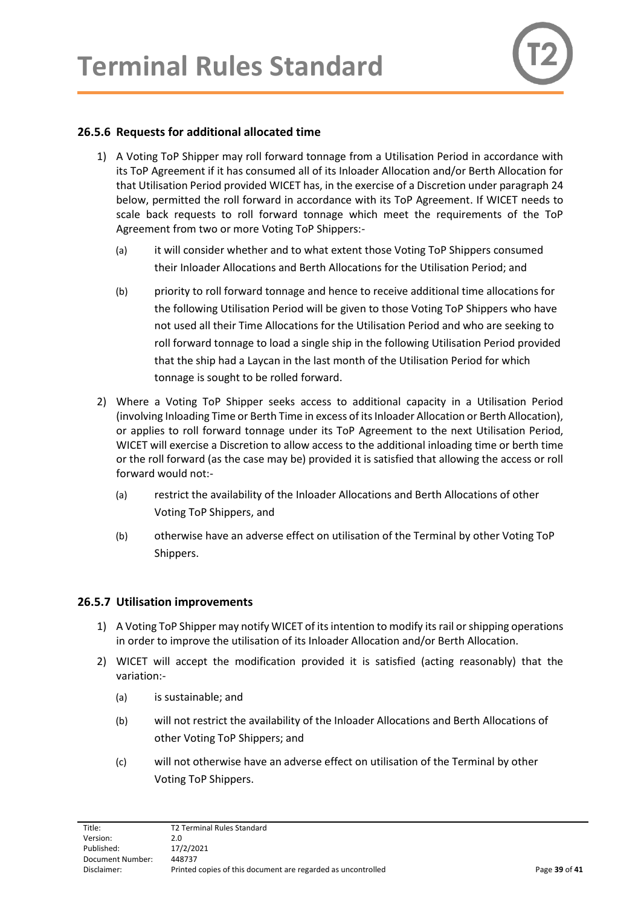#### <span id="page-38-0"></span>**26.5.6 Requests for additional allocated time**

- 1) A Voting ToP Shipper may roll forward tonnage from a Utilisation Period in accordance with its ToP Agreement if it has consumed all of its Inloader Allocation and/or Berth Allocation for that Utilisation Period provided WICET has, in the exercise of a Discretion under paragraph 24 below, permitted the roll forward in accordance with its ToP Agreement. If WICET needs to scale back requests to roll forward tonnage which meet the requirements of the ToP Agreement from two or more Voting ToP Shippers:-
	- (a) it will consider whether and to what extent those Voting ToP Shippers consumed their Inloader Allocations and Berth Allocations for the Utilisation Period; and
	- (b) priority to roll forward tonnage and hence to receive additional time allocations for the following Utilisation Period will be given to those Voting ToP Shippers who have not used all their Time Allocations for the Utilisation Period and who are seeking to roll forward tonnage to load a single ship in the following Utilisation Period provided that the ship had a Laycan in the last month of the Utilisation Period for which tonnage is sought to be rolled forward.
- 2) Where a Voting ToP Shipper seeks access to additional capacity in a Utilisation Period (involving Inloading Time or Berth Time in excess of its Inloader Allocation or Berth Allocation), or applies to roll forward tonnage under its ToP Agreement to the next Utilisation Period, WICET will exercise a Discretion to allow access to the additional inloading time or berth time or the roll forward (as the case may be) provided it is satisfied that allowing the access or roll forward would not:-
	- (a) restrict the availability of the Inloader Allocations and Berth Allocations of other Voting ToP Shippers, and
	- (b) otherwise have an adverse effect on utilisation of the Terminal by other Voting ToP Shippers.

#### <span id="page-38-1"></span>**26.5.7 Utilisation improvements**

- 1) A Voting ToP Shipper may notify WICET of its intention to modify its rail or shipping operations in order to improve the utilisation of its Inloader Allocation and/or Berth Allocation.
- 2) WICET will accept the modification provided it is satisfied (acting reasonably) that the variation:-
	- (a) is sustainable; and
	- (b) will not restrict the availability of the Inloader Allocations and Berth Allocations of other Voting ToP Shippers; and
	- (c) will not otherwise have an adverse effect on utilisation of the Terminal by other Voting ToP Shippers.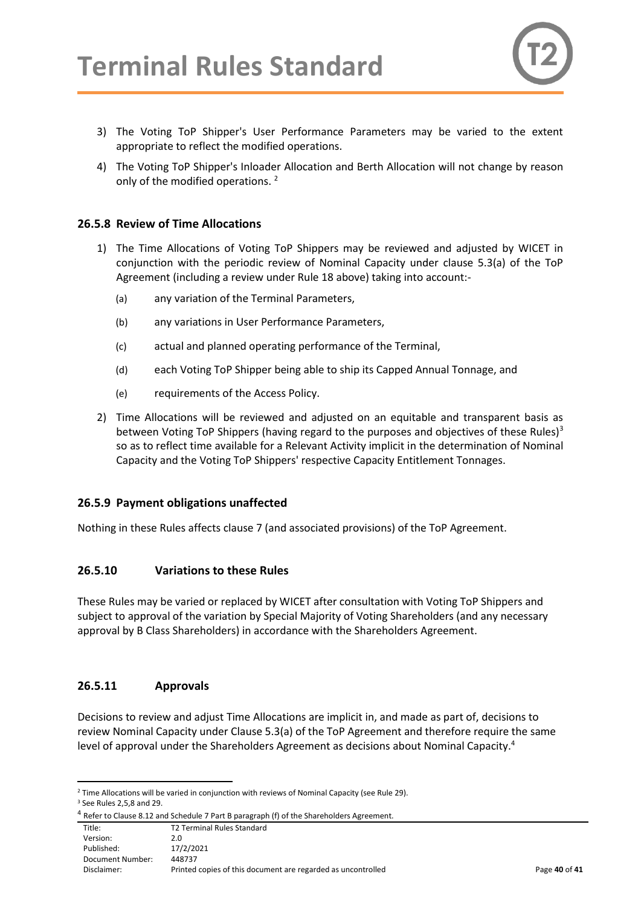

- 3) The Voting ToP Shipper's User Performance Parameters may be varied to the extent appropriate to reflect the modified operations.
- 4) The Voting ToP Shipper's Inloader Allocation and Berth Allocation will not change by reason only of the modified operations.<sup>2</sup>

#### <span id="page-39-0"></span>**26.5.8 Review of Time Allocations**

- 1) The Time Allocations of Voting ToP Shippers may be reviewed and adjusted by WICET in conjunction with the periodic review of Nominal Capacity under clause 5.3(a) of the ToP Agreement (including a review under Rule 18 above) taking into account:-
	- (a) any variation of the Terminal Parameters,
	- (b) any variations in User Performance Parameters,
	- (c) actual and planned operating performance of the Terminal,
	- (d) each Voting ToP Shipper being able to ship its Capped Annual Tonnage, and
	- (e) requirements of the Access Policy.
- 2) Time Allocations will be reviewed and adjusted on an equitable and transparent basis as between Voting ToP Shippers (having regard to the purposes and objectives of these Rules)<sup>3</sup> so as to reflect time available for a Relevant Activity implicit in the determination of Nominal Capacity and the Voting ToP Shippers' respective Capacity Entitlement Tonnages.

#### <span id="page-39-1"></span>**26.5.9 Payment obligations unaffected**

Nothing in these Rules affects clause 7 (and associated provisions) of the ToP Agreement.

#### <span id="page-39-2"></span>**26.5.10 Variations to these Rules**

These Rules may be varied or replaced by WICET after consultation with Voting ToP Shippers and subject to approval of the variation by Special Majority of Voting Shareholders (and any necessary approval by B Class Shareholders) in accordance with the Shareholders Agreement.

#### <span id="page-39-3"></span>**26.5.11 Approvals**

Decisions to review and adjust Time Allocations are implicit in, and made as part of, decisions to review Nominal Capacity under Clause 5.3(a) of the ToP Agreement and therefore require the same level of approval under the Shareholders Agreement as decisions about Nominal Capacity.<sup>4</sup>

<sup>&</sup>lt;sup>2</sup> Time Allocations will be varied in conjunction with reviews of Nominal Capacity (see Rule 29).

<sup>3</sup> See Rules 2,5,8 and 29.

<sup>&</sup>lt;sup>4</sup> Refer to Clause 8.12 and Schedule 7 Part B paragraph (f) of the Shareholders Agreement.

Title: T2 Terminal Rules Standard Version: 2.0 Published: 17/2/2021 Document Number: 448737 Disclaimer: Printed copies of this document are regarded as uncontrolled Page **40** of **41**